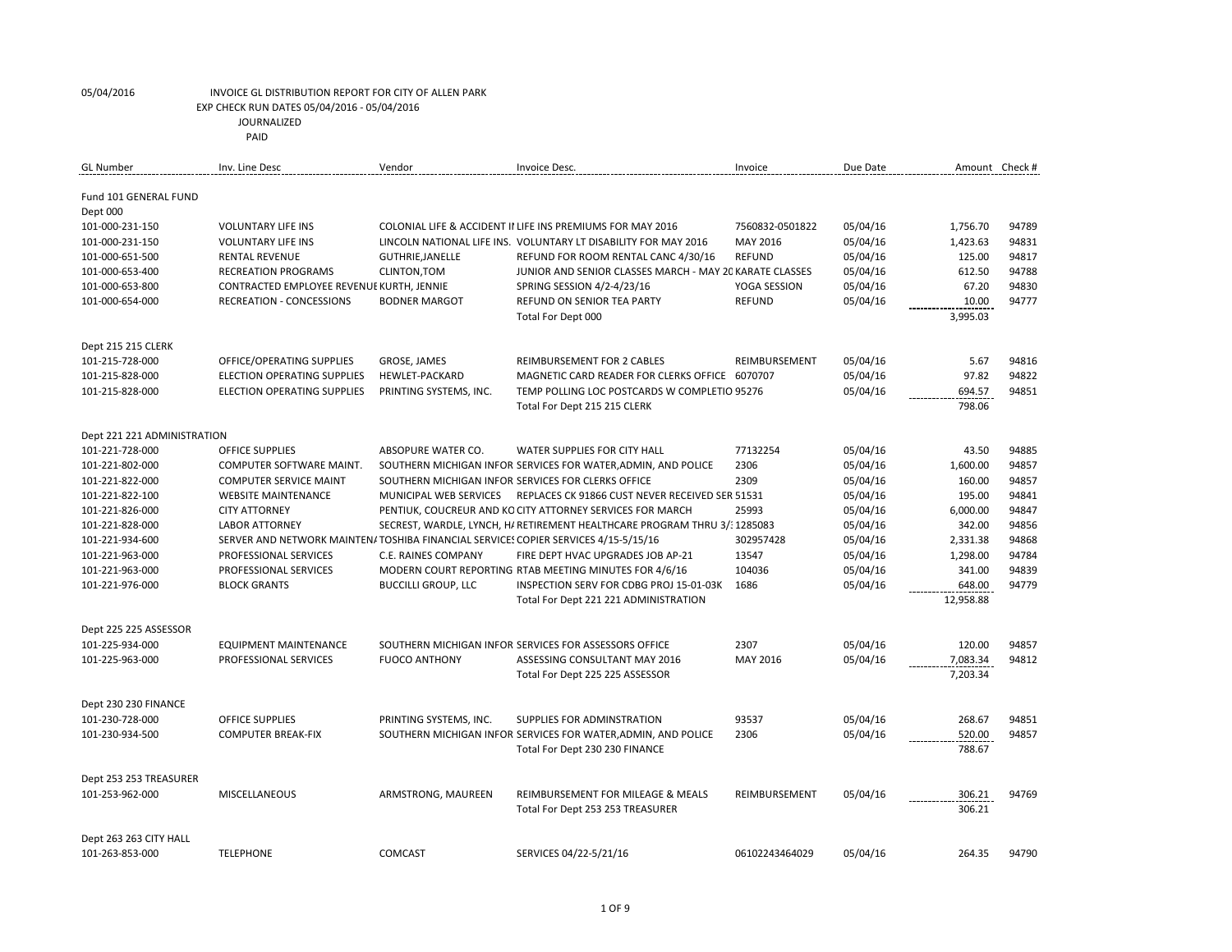| GL Number                   | Inv. Line Desc                                                                     | Vendor                     | Invoice Desc.                                                             | Invoice         | Due Date |                  | Amount Check # |
|-----------------------------|------------------------------------------------------------------------------------|----------------------------|---------------------------------------------------------------------------|-----------------|----------|------------------|----------------|
| Fund 101 GENERAL FUND       |                                                                                    |                            |                                                                           |                 |          |                  |                |
| Dept 000                    |                                                                                    |                            |                                                                           |                 |          |                  |                |
| 101-000-231-150             | <b>VOLUNTARY LIFE INS</b>                                                          |                            | COLONIAL LIFE & ACCIDENT II LIFE INS PREMIUMS FOR MAY 2016                | 7560832-0501822 | 05/04/16 | 1,756.70         | 94789          |
| 101-000-231-150             | <b>VOLUNTARY LIFE INS</b>                                                          |                            | LINCOLN NATIONAL LIFE INS. VOLUNTARY LT DISABILITY FOR MAY 2016           | MAY 2016        | 05/04/16 | 1,423.63         | 94831          |
| 101-000-651-500             | <b>RENTAL REVENUE</b>                                                              | <b>GUTHRIE, JANELLE</b>    | REFUND FOR ROOM RENTAL CANC 4/30/16                                       | <b>REFUND</b>   | 05/04/16 | 125.00           | 94817          |
| 101-000-653-400             | <b>RECREATION PROGRAMS</b>                                                         | CLINTON, TOM               | JUNIOR AND SENIOR CLASSES MARCH - MAY 20 KARATE CLASSES                   |                 | 05/04/16 | 612.50           | 94788          |
| 101-000-653-800             | CONTRACTED EMPLOYEE REVENUE KURTH, JENNIE                                          |                            | SPRING SESSION 4/2-4/23/16                                                | YOGA SESSION    | 05/04/16 | 67.20            | 94830          |
| 101-000-654-000             | <b>RECREATION - CONCESSIONS</b>                                                    | <b>BODNER MARGOT</b>       | <b>REFUND ON SENIOR TEA PARTY</b>                                         | <b>REFUND</b>   | 05/04/16 | 10.00            | 94777          |
|                             |                                                                                    |                            | Total For Dept 000                                                        |                 |          | 3,995.03         |                |
| Dept 215 215 CLERK          |                                                                                    |                            |                                                                           |                 |          |                  |                |
| 101-215-728-000             | OFFICE/OPERATING SUPPLIES                                                          | GROSE, JAMES               | <b>REIMBURSEMENT FOR 2 CABLES</b>                                         | REIMBURSEMENT   | 05/04/16 | 5.67             | 94816          |
| 101-215-828-000             | <b>ELECTION OPERATING SUPPLIES</b>                                                 | <b>HEWLET-PACKARD</b>      | MAGNETIC CARD READER FOR CLERKS OFFICE 6070707                            |                 | 05/04/16 | 97.82            | 94822          |
| 101-215-828-000             | <b>ELECTION OPERATING SUPPLIES</b>                                                 | PRINTING SYSTEMS, INC.     | TEMP POLLING LOC POSTCARDS W COMPLETIO 95276                              |                 | 05/04/16 | 694.57           | 94851          |
|                             |                                                                                    |                            | Total For Dept 215 215 CLERK                                              |                 |          | 798.06           |                |
| Dept 221 221 ADMINISTRATION |                                                                                    |                            |                                                                           |                 |          |                  |                |
| 101-221-728-000             | <b>OFFICE SUPPLIES</b>                                                             | ABSOPURE WATER CO.         | WATER SUPPLIES FOR CITY HALL                                              | 77132254        | 05/04/16 | 43.50            | 94885          |
| 101-221-802-000             | COMPUTER SOFTWARE MAINT.                                                           |                            | SOUTHERN MICHIGAN INFOR SERVICES FOR WATER, ADMIN, AND POLICE             | 2306            | 05/04/16 | 1,600.00         | 94857          |
| 101-221-822-000             | <b>COMPUTER SERVICE MAINT</b>                                                      |                            | SOUTHERN MICHIGAN INFOR SERVICES FOR CLERKS OFFICE                        | 2309            | 05/04/16 | 160.00           | 94857          |
| 101-221-822-100             | <b>WEBSITE MAINTENANCE</b>                                                         | MUNICIPAL WEB SERVICES     | REPLACES CK 91866 CUST NEVER RECEIVED SER 51531                           |                 | 05/04/16 | 195.00           | 94841          |
| 101-221-826-000             | <b>CITY ATTORNEY</b>                                                               |                            | PENTIUK, COUCREUR AND KO CITY ATTORNEY SERVICES FOR MARCH                 | 25993           | 05/04/16 | 6,000.00         | 94847          |
| 101-221-828-000             | <b>LABOR ATTORNEY</b>                                                              |                            | SECREST, WARDLE, LYNCH, H/ RETIREMENT HEALTHCARE PROGRAM THRU 3/: 1285083 |                 | 05/04/16 | 342.00           | 94856          |
| 101-221-934-600             | SERVER AND NETWORK MAINTEN/TOSHIBA FINANCIAL SERVICES COPIER SERVICES 4/15-5/15/16 |                            |                                                                           | 302957428       | 05/04/16 | 2,331.38         | 94868          |
| 101-221-963-000             | PROFESSIONAL SERVICES                                                              | C.E. RAINES COMPANY        | FIRE DEPT HVAC UPGRADES JOB AP-21                                         | 13547           | 05/04/16 | 1,298.00         | 94784          |
| 101-221-963-000             | PROFESSIONAL SERVICES                                                              |                            | MODERN COURT REPORTING RTAB MEETING MINUTES FOR 4/6/16                    | 104036          | 05/04/16 | 341.00           | 94839          |
| 101-221-976-000             | <b>BLOCK GRANTS</b>                                                                | <b>BUCCILLI GROUP, LLC</b> | INSPECTION SERV FOR CDBG PROJ 15-01-03K                                   | 1686            | 05/04/16 | 648.00           | 94779          |
|                             |                                                                                    |                            | Total For Dept 221 221 ADMINISTRATION                                     |                 |          | 12,958.88        |                |
| Dept 225 225 ASSESSOR       |                                                                                    |                            |                                                                           |                 |          |                  |                |
| 101-225-934-000             | EQUIPMENT MAINTENANCE                                                              |                            | SOUTHERN MICHIGAN INFOR SERVICES FOR ASSESSORS OFFICE                     | 2307            | 05/04/16 | 120.00           | 94857          |
| 101-225-963-000             | PROFESSIONAL SERVICES                                                              | <b>FUOCO ANTHONY</b>       | ASSESSING CONSULTANT MAY 2016                                             | MAY 2016        | 05/04/16 | 7,083.34         | 94812          |
|                             |                                                                                    |                            | Total For Dept 225 225 ASSESSOR                                           |                 |          | 7,203.34         |                |
| Dept 230 230 FINANCE        |                                                                                    |                            |                                                                           |                 |          |                  |                |
| 101-230-728-000             | <b>OFFICE SUPPLIES</b>                                                             | PRINTING SYSTEMS, INC.     | SUPPLIES FOR ADMINSTRATION                                                | 93537           | 05/04/16 | 268.67           | 94851          |
| 101-230-934-500             | <b>COMPUTER BREAK-FIX</b>                                                          |                            | SOUTHERN MICHIGAN INFOR SERVICES FOR WATER, ADMIN, AND POLICE             | 2306            | 05/04/16 | 520.00           | 94857          |
|                             |                                                                                    |                            | Total For Dept 230 230 FINANCE                                            |                 |          | 788.67           |                |
| Dept 253 253 TREASURER      |                                                                                    |                            |                                                                           |                 |          |                  |                |
| 101-253-962-000             | <b>MISCELLANEOUS</b>                                                               | ARMSTRONG, MAUREEN         | REIMBURSEMENT FOR MILEAGE & MEALS<br>Total For Dept 253 253 TREASURER     | REIMBURSEMENT   | 05/04/16 | 306.21<br>306.21 | 94769          |
| Dept 263 263 CITY HALL      |                                                                                    |                            |                                                                           |                 |          |                  |                |
| 101-263-853-000             | <b>TELEPHONE</b>                                                                   | COMCAST                    | SERVICES 04/22-5/21/16                                                    | 06102243464029  | 05/04/16 | 264.35           | 94790          |
|                             |                                                                                    |                            |                                                                           |                 |          |                  |                |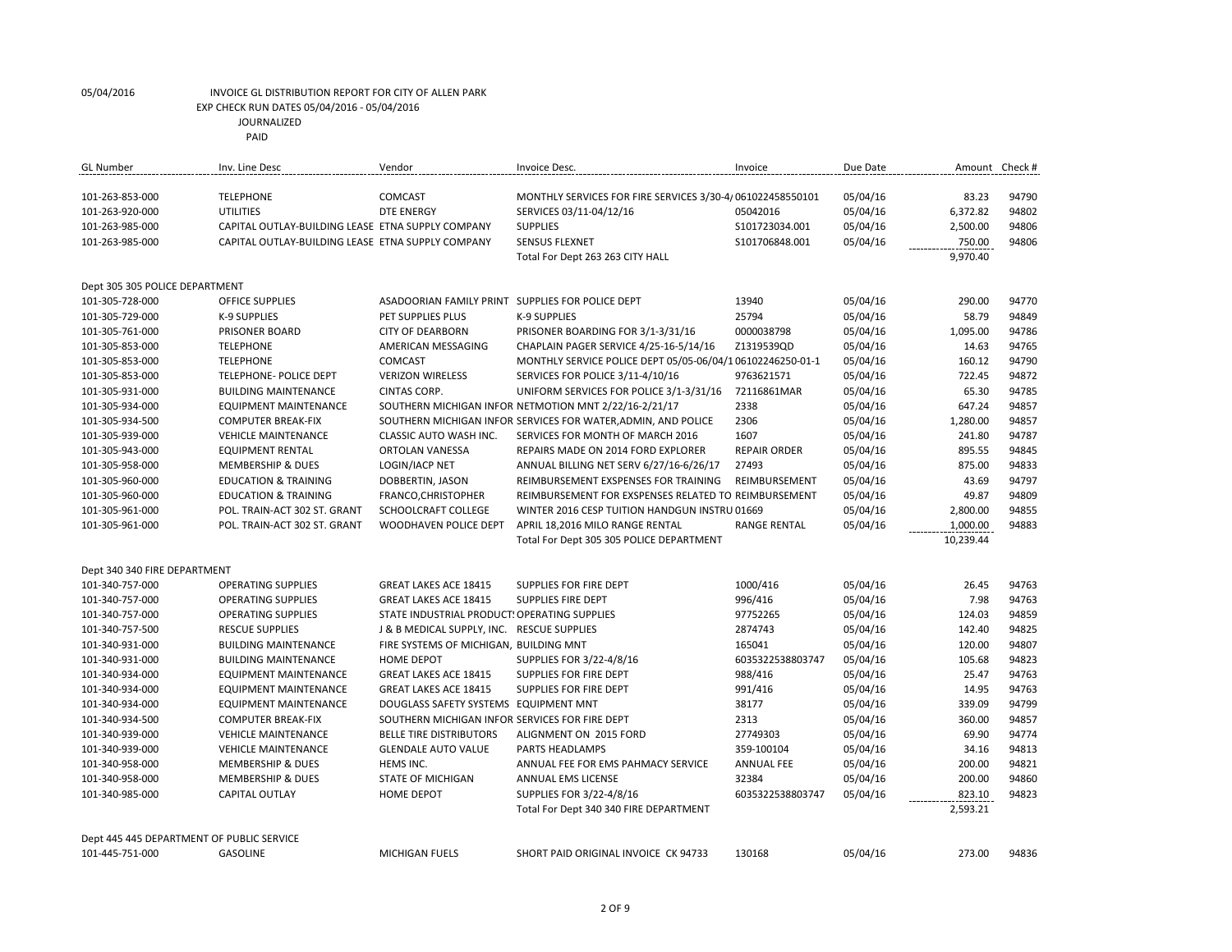| <b>GL Number</b>                          | Inv. Line Desc                                    | Vendor                                           | Invoice Desc.                                                 | Invoice             | Due Date | Amount Check # |       |
|-------------------------------------------|---------------------------------------------------|--------------------------------------------------|---------------------------------------------------------------|---------------------|----------|----------------|-------|
|                                           |                                                   |                                                  |                                                               |                     |          |                |       |
| 101-263-853-000                           | <b>TELEPHONE</b>                                  | COMCAST                                          | MONTHLY SERVICES FOR FIRE SERVICES 3/30-4/061022458550101     |                     | 05/04/16 | 83.23          | 94790 |
| 101-263-920-000                           | UTILITIES                                         | <b>DTE ENERGY</b>                                | SERVICES 03/11-04/12/16                                       | 05042016            | 05/04/16 | 6,372.82       | 94802 |
| 101-263-985-000                           | CAPITAL OUTLAY-BUILDING LEASE ETNA SUPPLY COMPANY |                                                  | <b>SUPPLIES</b>                                               | \$101723034.001     | 05/04/16 | 2,500.00       | 94806 |
| 101-263-985-000                           | CAPITAL OUTLAY-BUILDING LEASE ETNA SUPPLY COMPANY |                                                  | <b>SENSUS FLEXNET</b>                                         | S101706848.001      | 05/04/16 | 750.00         | 94806 |
|                                           |                                                   |                                                  | Total For Dept 263 263 CITY HALL                              |                     |          | 9,970.40       |       |
|                                           |                                                   |                                                  |                                                               |                     |          |                |       |
| Dept 305 305 POLICE DEPARTMENT            |                                                   |                                                  |                                                               |                     |          |                |       |
| 101-305-728-000                           | <b>OFFICE SUPPLIES</b>                            | ASADOORIAN FAMILY PRINT SUPPLIES FOR POLICE DEPT |                                                               | 13940               | 05/04/16 | 290.00         | 94770 |
| 101-305-729-000                           | <b>K-9 SUPPLIES</b>                               | PET SUPPLIES PLUS                                | K-9 SUPPLIES                                                  | 25794               | 05/04/16 | 58.79          | 94849 |
| 101-305-761-000                           | PRISONER BOARD                                    | <b>CITY OF DEARBORN</b>                          | PRISONER BOARDING FOR 3/1-3/31/16                             | 0000038798          | 05/04/16 | 1,095.00       | 94786 |
| 101-305-853-000                           | <b>TELEPHONE</b>                                  | AMERICAN MESSAGING                               | CHAPLAIN PAGER SERVICE 4/25-16-5/14/16                        | Z1319539QD          | 05/04/16 | 14.63          | 94765 |
| 101-305-853-000                           | <b>TELEPHONE</b>                                  | COMCAST                                          | MONTHLY SERVICE POLICE DEPT 05/05-06/04/1 06102246250-01-1    |                     | 05/04/16 | 160.12         | 94790 |
| 101-305-853-000                           | TELEPHONE- POLICE DEPT                            | <b>VERIZON WIRELESS</b>                          | SERVICES FOR POLICE 3/11-4/10/16                              | 9763621571          | 05/04/16 | 722.45         | 94872 |
| 101-305-931-000                           | <b>BUILDING MAINTENANCE</b>                       | CINTAS CORP.                                     | UNIFORM SERVICES FOR POLICE 3/1-3/31/16                       | 72116861MAR         | 05/04/16 | 65.30          | 94785 |
| 101-305-934-000                           | <b>EQUIPMENT MAINTENANCE</b>                      |                                                  | SOUTHERN MICHIGAN INFOR NETMOTION MNT 2/22/16-2/21/17         | 2338                | 05/04/16 | 647.24         | 94857 |
| 101-305-934-500                           | <b>COMPUTER BREAK-FIX</b>                         |                                                  | SOUTHERN MICHIGAN INFOR SERVICES FOR WATER, ADMIN, AND POLICE | 2306                | 05/04/16 | 1,280.00       | 94857 |
| 101-305-939-000                           | <b>VEHICLE MAINTENANCE</b>                        | CLASSIC AUTO WASH INC.                           | SERVICES FOR MONTH OF MARCH 2016                              | 1607                | 05/04/16 | 241.80         | 94787 |
| 101-305-943-000                           | <b>EQUIPMENT RENTAL</b>                           | <b>ORTOLAN VANESSA</b>                           | REPAIRS MADE ON 2014 FORD EXPLORER                            | <b>REPAIR ORDER</b> | 05/04/16 | 895.55         | 94845 |
| 101-305-958-000                           | MEMBERSHIP & DUES                                 | LOGIN/IACP NET                                   | ANNUAL BILLING NET SERV 6/27/16-6/26/17                       | 27493               | 05/04/16 | 875.00         | 94833 |
| 101-305-960-000                           | <b>EDUCATION &amp; TRAINING</b>                   | DOBBERTIN, JASON                                 | REIMBURSEMENT EXSPENSES FOR TRAINING                          | REIMBURSEMENT       | 05/04/16 | 43.69          | 94797 |
| 101-305-960-000                           | <b>EDUCATION &amp; TRAINING</b>                   | FRANCO, CHRISTOPHER                              | REIMBURSEMENT FOR EXSPENSES RELATED TO REIMBURSEMENT          |                     | 05/04/16 | 49.87          | 94809 |
| 101-305-961-000                           | POL. TRAIN-ACT 302 ST. GRANT                      | SCHOOLCRAFT COLLEGE                              | WINTER 2016 CESP TUITION HANDGUN INSTRU 01669                 |                     | 05/04/16 | 2,800.00       | 94855 |
| 101-305-961-000                           | POL. TRAIN-ACT 302 ST. GRANT                      | WOODHAVEN POLICE DEPT                            | APRIL 18,2016 MILO RANGE RENTAL                               | <b>RANGE RENTAL</b> | 05/04/16 | 1,000.00       | 94883 |
|                                           |                                                   |                                                  | Total For Dept 305 305 POLICE DEPARTMENT                      |                     |          | 10,239.44      |       |
|                                           |                                                   |                                                  |                                                               |                     |          |                |       |
| Dept 340 340 FIRE DEPARTMENT              |                                                   |                                                  |                                                               |                     |          |                |       |
| 101-340-757-000                           | <b>OPERATING SUPPLIES</b>                         | <b>GREAT LAKES ACE 18415</b>                     | SUPPLIES FOR FIRE DEPT                                        | 1000/416            | 05/04/16 | 26.45          | 94763 |
| 101-340-757-000                           | <b>OPERATING SUPPLIES</b>                         | <b>GREAT LAKES ACE 18415</b>                     | <b>SUPPLIES FIRE DEPT</b>                                     | 996/416             | 05/04/16 | 7.98           | 94763 |
| 101-340-757-000                           | <b>OPERATING SUPPLIES</b>                         | STATE INDUSTRIAL PRODUCT: OPERATING SUPPLIES     |                                                               | 97752265            | 05/04/16 | 124.03         | 94859 |
| 101-340-757-500                           | <b>RESCUE SUPPLIES</b>                            | J & B MEDICAL SUPPLY, INC. RESCUE SUPPLIES       |                                                               | 2874743             | 05/04/16 | 142.40         | 94825 |
| 101-340-931-000                           | <b>BUILDING MAINTENANCE</b>                       | FIRE SYSTEMS OF MICHIGAN, BUILDING MNT           |                                                               | 165041              | 05/04/16 | 120.00         | 94807 |
| 101-340-931-000                           | <b>BUILDING MAINTENANCE</b>                       | HOME DEPOT                                       | SUPPLIES FOR 3/22-4/8/16                                      | 6035322538803747    | 05/04/16 | 105.68         | 94823 |
| 101-340-934-000                           | <b>EQUIPMENT MAINTENANCE</b>                      | <b>GREAT LAKES ACE 18415</b>                     | SUPPLIES FOR FIRE DEPT                                        | 988/416             | 05/04/16 | 25.47          | 94763 |
| 101-340-934-000                           | <b>EQUIPMENT MAINTENANCE</b>                      | <b>GREAT LAKES ACE 18415</b>                     | SUPPLIES FOR FIRE DEPT                                        | 991/416             | 05/04/16 | 14.95          | 94763 |
| 101-340-934-000                           | <b>EQUIPMENT MAINTENANCE</b>                      | DOUGLASS SAFETY SYSTEMS EQUIPMENT MNT            |                                                               | 38177               | 05/04/16 | 339.09         | 94799 |
| 101-340-934-500                           | <b>COMPUTER BREAK-FIX</b>                         | SOUTHERN MICHIGAN INFOR SERVICES FOR FIRE DEPT   |                                                               | 2313                | 05/04/16 | 360.00         | 94857 |
| 101-340-939-000                           | <b>VEHICLE MAINTENANCE</b>                        | <b>BELLE TIRE DISTRIBUTORS</b>                   | ALIGNMENT ON 2015 FORD                                        | 27749303            | 05/04/16 | 69.90          | 94774 |
| 101-340-939-000                           | <b>VEHICLE MAINTENANCE</b>                        | <b>GLENDALE AUTO VALUE</b>                       | <b>PARTS HEADLAMPS</b>                                        | 359-100104          | 05/04/16 | 34.16          | 94813 |
| 101-340-958-000                           | MEMBERSHIP & DUES                                 | HEMS INC.                                        | ANNUAL FEE FOR EMS PAHMACY SERVICE                            | <b>ANNUAL FEE</b>   | 05/04/16 | 200.00         | 94821 |
| 101-340-958-000                           | <b>MEMBERSHIP &amp; DUES</b>                      | <b>STATE OF MICHIGAN</b>                         | ANNUAL EMS LICENSE                                            | 32384               | 05/04/16 | 200.00         | 94860 |
| 101-340-985-000                           | <b>CAPITAL OUTLAY</b>                             | <b>HOME DEPOT</b>                                | SUPPLIES FOR 3/22-4/8/16                                      | 6035322538803747    | 05/04/16 | 823.10         | 94823 |
|                                           |                                                   |                                                  | Total For Dept 340 340 FIRE DEPARTMENT                        |                     |          | 2,593.21       |       |
|                                           |                                                   |                                                  |                                                               |                     |          |                |       |
| Dept 445 445 DEPARTMENT OF PUBLIC SERVICE |                                                   |                                                  |                                                               |                     |          |                |       |
| 101-445-751-000                           | <b>GASOLINE</b>                                   | MICHIGAN FUELS                                   | SHORT PAID ORIGINAL INVOICE CK 94733                          | 130168              | 05/04/16 | 273.00         | 94836 |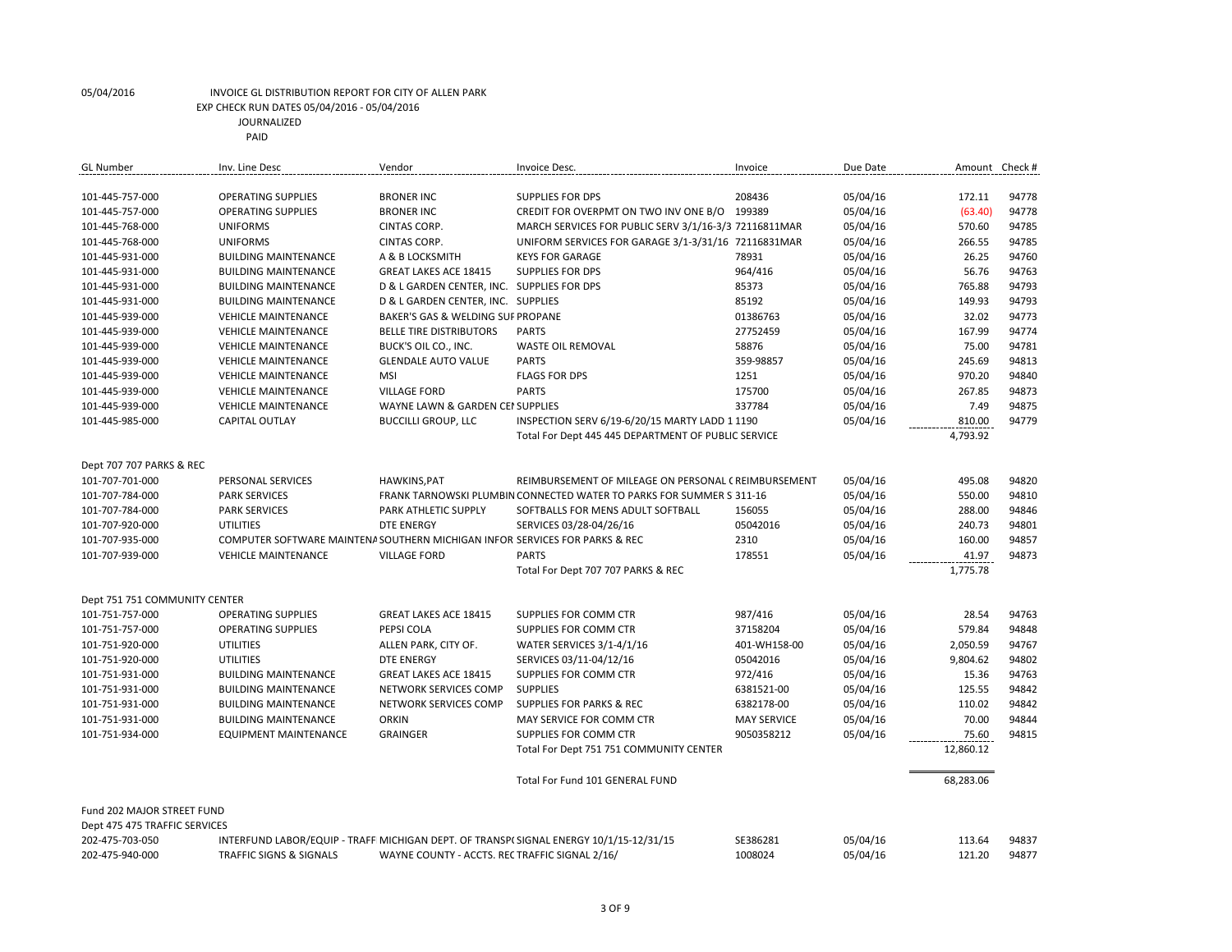| 208436<br>05/04/16<br>172.11<br>94778<br>101-445-757-000<br><b>OPERATING SUPPLIES</b><br><b>BRONER INC</b><br><b>SUPPLIES FOR DPS</b><br>94778<br>101-445-757-000<br><b>OPERATING SUPPLIES</b><br><b>BRONER INC</b><br>CREDIT FOR OVERPMT ON TWO INV ONE B/O<br>199389<br>05/04/16<br>(63.40)<br>MARCH SERVICES FOR PUBLIC SERV 3/1/16-3/3 72116811MAR<br>05/04/16<br>570.60<br>94785<br>101-445-768-000<br><b>UNIFORMS</b><br>CINTAS CORP.<br>UNIFORM SERVICES FOR GARAGE 3/1-3/31/16 72116831MAR<br>05/04/16<br>266.55<br>94785<br>101-445-768-000<br><b>UNIFORMS</b><br>CINTAS CORP.<br>94760<br><b>BUILDING MAINTENANCE</b><br>A & B LOCKSMITH<br><b>KEYS FOR GARAGE</b><br>78931<br>05/04/16<br>26.25<br>101-445-931-000<br>94763<br><b>BUILDING MAINTENANCE</b><br><b>GREAT LAKES ACE 18415</b><br><b>SUPPLIES FOR DPS</b><br>964/416<br>05/04/16<br>56.76<br>101-445-931-000<br>765.88<br>94793<br>D & L GARDEN CENTER, INC. SUPPLIES FOR DPS<br>85373<br>05/04/16<br>101-445-931-000<br><b>BUILDING MAINTENANCE</b><br>85192<br>149.93<br>94793<br>101-445-931-000<br><b>BUILDING MAINTENANCE</b><br>D & L GARDEN CENTER, INC. SUPPLIES<br>05/04/16<br>01386763<br>05/04/16<br>32.02<br>94773<br>101-445-939-000<br><b>VEHICLE MAINTENANCE</b><br>BAKER'S GAS & WELDING SUF PROPANE<br>94774<br>05/04/16<br>167.99<br>101-445-939-000<br><b>VEHICLE MAINTENANCE</b><br><b>BELLE TIRE DISTRIBUTORS</b><br><b>PARTS</b><br>27752459<br>94781<br>BUCK'S OIL CO., INC.<br>58876<br>05/04/16<br>75.00<br>101-445-939-000<br><b>VEHICLE MAINTENANCE</b><br><b>WASTE OIL REMOVAL</b><br>359-98857<br>245.69<br>94813<br><b>GLENDALE AUTO VALUE</b><br><b>PARTS</b><br>05/04/16<br>101-445-939-000<br><b>VEHICLE MAINTENANCE</b><br>970.20<br>94840<br>101-445-939-000<br><b>VEHICLE MAINTENANCE</b><br><b>MSI</b><br><b>FLAGS FOR DPS</b><br>1251<br>05/04/16<br><b>PARTS</b><br>94873<br>101-445-939-000<br><b>VEHICLE MAINTENANCE</b><br><b>VILLAGE FORD</b><br>175700<br>05/04/16<br>267.85<br>94875<br>WAYNE LAWN & GARDEN CEI SUPPLIES<br>337784<br>05/04/16<br>7.49<br>101-445-939-000<br><b>VEHICLE MAINTENANCE</b><br>94779<br>05/04/16<br>810.00<br>101-445-985-000<br><b>CAPITAL OUTLAY</b><br><b>BUCCILLI GROUP, LLC</b><br>INSPECTION SERV 6/19-6/20/15 MARTY LADD 1 1190<br>4,793.92<br>Total For Dept 445 445 DEPARTMENT OF PUBLIC SERVICE<br>Dept 707 707 PARKS & REC<br>05/04/16<br>495.08<br>94820<br>101-707-701-000<br><b>PERSONAL SERVICES</b><br>HAWKINS, PAT<br>REIMBURSEMENT OF MILEAGE ON PERSONAL CREIMBURSEMENT<br>05/04/16<br>550.00<br>94810<br>101-707-784-000<br><b>PARK SERVICES</b><br>FRANK TARNOWSKI PLUMBIN CONNECTED WATER TO PARKS FOR SUMMER S 311-16<br>PARK ATHLETIC SUPPLY<br>05/04/16<br>288.00<br>94846<br>101-707-784-000<br><b>PARK SERVICES</b><br>SOFTBALLS FOR MENS ADULT SOFTBALL<br>156055<br><b>DTE ENERGY</b><br>SERVICES 03/28-04/26/16<br>05042016<br>05/04/16<br>240.73<br>94801<br>101-707-920-000<br><b>UTILITIES</b><br>160.00<br>COMPUTER SOFTWARE MAINTENA SOUTHERN MICHIGAN INFOR SERVICES FOR PARKS & REC<br>2310<br>05/04/16<br>94857<br>101-707-935-000<br>94873<br>101-707-939-000<br><b>VEHICLE MAINTENANCE</b><br><b>VILLAGE FORD</b><br><b>PARTS</b><br>178551<br>05/04/16<br>41.97<br>1,775.78<br>Total For Dept 707 707 PARKS & REC<br>Dept 751 751 COMMUNITY CENTER<br>101-751-757-000<br><b>OPERATING SUPPLIES</b><br><b>GREAT LAKES ACE 18415</b><br>987/416<br>05/04/16<br>28.54<br>94763<br>SUPPLIES FOR COMM CTR<br>101-751-757-000<br><b>OPERATING SUPPLIES</b><br>PEPSI COLA<br>SUPPLIES FOR COMM CTR<br>37158204<br>05/04/16<br>579.84<br>94848<br>2,050.59<br>94767<br>101-751-920-000<br>UTILITIES<br>ALLEN PARK, CITY OF.<br>WATER SERVICES 3/1-4/1/16<br>401-WH158-00<br>05/04/16<br>UTILITIES<br>05/04/16<br>9,804.62<br>94802<br>101-751-920-000<br><b>DTE ENERGY</b><br>SERVICES 03/11-04/12/16<br>05042016<br>SUPPLIES FOR COMM CTR<br>972/416<br>05/04/16<br>94763<br>101-751-931-000<br><b>BUILDING MAINTENANCE</b><br><b>GREAT LAKES ACE 18415</b><br>15.36<br>94842<br><b>SUPPLIES</b><br>05/04/16<br>125.55<br>101-751-931-000<br><b>BUILDING MAINTENANCE</b><br>NETWORK SERVICES COMP<br>6381521-00<br>05/04/16<br>110.02<br>94842<br>101-751-931-000<br><b>BUILDING MAINTENANCE</b><br>NETWORK SERVICES COMP<br><b>SUPPLIES FOR PARKS &amp; REC</b><br>6382178-00<br>70.00<br>94844<br>101-751-931-000<br><b>BUILDING MAINTENANCE</b><br><b>ORKIN</b><br>MAY SERVICE FOR COMM CTR<br><b>MAY SERVICE</b><br>05/04/16<br>05/04/16<br>94815<br>101-751-934-000<br><b>EQUIPMENT MAINTENANCE</b><br><b>GRAINGER</b><br>SUPPLIES FOR COMM CTR<br>9050358212<br>75.60<br>12,860.12<br>Total For Dept 751 751 COMMUNITY CENTER<br>Total For Fund 101 GENERAL FUND<br>68,283.06<br>Fund 202 MAJOR STREET FUND<br>Dept 475 475 TRAFFIC SERVICES<br>SE386281<br>113.64<br>202-475-703-050<br>INTERFUND LABOR/EQUIP - TRAFF MICHIGAN DEPT. OF TRANSP(SIGNAL ENERGY 10/1/15-12/31/15<br>05/04/16<br>94837<br>202-475-940-000<br><b>TRAFFIC SIGNS &amp; SIGNALS</b><br>1008024<br>05/04/16<br>121.20<br>94877<br>WAYNE COUNTY - ACCTS. REC TRAFFIC SIGNAL 2/16/ | <b>GL Number</b> | Inv. Line Desc | Vendor | Invoice Desc. | Invoice | Due Date | Amount Check # |
|--------------------------------------------------------------------------------------------------------------------------------------------------------------------------------------------------------------------------------------------------------------------------------------------------------------------------------------------------------------------------------------------------------------------------------------------------------------------------------------------------------------------------------------------------------------------------------------------------------------------------------------------------------------------------------------------------------------------------------------------------------------------------------------------------------------------------------------------------------------------------------------------------------------------------------------------------------------------------------------------------------------------------------------------------------------------------------------------------------------------------------------------------------------------------------------------------------------------------------------------------------------------------------------------------------------------------------------------------------------------------------------------------------------------------------------------------------------------------------------------------------------------------------------------------------------------------------------------------------------------------------------------------------------------------------------------------------------------------------------------------------------------------------------------------------------------------------------------------------------------------------------------------------------------------------------------------------------------------------------------------------------------------------------------------------------------------------------------------------------------------------------------------------------------------------------------------------------------------------------------------------------------------------------------------------------------------------------------------------------------------------------------------------------------------------------------------------------------------------------------------------------------------------------------------------------------------------------------------------------------------------------------------------------------------------------------------------------------------------------------------------------------------------------------------------------------------------------------------------------------------------------------------------------------------------------------------------------------------------------------------------------------------------------------------------------------------------------------------------------------------------------------------------------------------------------------------------------------------------------------------------------------------------------------------------------------------------------------------------------------------------------------------------------------------------------------------------------------------------------------------------------------------------------------------------------------------------------------------------------------------------------------------------------------------------------------------------------------------------------------------------------------------------------------------------------------------------------------------------------------------------------------------------------------------------------------------------------------------------------------------------------------------------------------------------------------------------------------------------------------------------------------------------------------------------------------------------------------------------------------------------------------------------------------------------------------------------------------------------------------------------------------------------------------------------------------------------------------------------------------------------------------------------------------------------------------------------------------------------------------------------------------------------------------------------------------------------------------------------------------------------------------------------------------------------------------------------------------------------------------------------------------------------------------------------------------------------------------------------------------------------------------------------------------------------------------------------------------------------------------------------------------------|------------------|----------------|--------|---------------|---------|----------|----------------|
|                                                                                                                                                                                                                                                                                                                                                                                                                                                                                                                                                                                                                                                                                                                                                                                                                                                                                                                                                                                                                                                                                                                                                                                                                                                                                                                                                                                                                                                                                                                                                                                                                                                                                                                                                                                                                                                                                                                                                                                                                                                                                                                                                                                                                                                                                                                                                                                                                                                                                                                                                                                                                                                                                                                                                                                                                                                                                                                                                                                                                                                                                                                                                                                                                                                                                                                                                                                                                                                                                                                                                                                                                                                                                                                                                                                                                                                                                                                                                                                                                                                                                                                                                                                                                                                                                                                                                                                                                                                                                                                                                                                                                                                                                                                                                                                                                                                                                                                                                                                                                                                                                                                                                  |                  |                |        |               |         |          |                |
|                                                                                                                                                                                                                                                                                                                                                                                                                                                                                                                                                                                                                                                                                                                                                                                                                                                                                                                                                                                                                                                                                                                                                                                                                                                                                                                                                                                                                                                                                                                                                                                                                                                                                                                                                                                                                                                                                                                                                                                                                                                                                                                                                                                                                                                                                                                                                                                                                                                                                                                                                                                                                                                                                                                                                                                                                                                                                                                                                                                                                                                                                                                                                                                                                                                                                                                                                                                                                                                                                                                                                                                                                                                                                                                                                                                                                                                                                                                                                                                                                                                                                                                                                                                                                                                                                                                                                                                                                                                                                                                                                                                                                                                                                                                                                                                                                                                                                                                                                                                                                                                                                                                                                  |                  |                |        |               |         |          |                |
|                                                                                                                                                                                                                                                                                                                                                                                                                                                                                                                                                                                                                                                                                                                                                                                                                                                                                                                                                                                                                                                                                                                                                                                                                                                                                                                                                                                                                                                                                                                                                                                                                                                                                                                                                                                                                                                                                                                                                                                                                                                                                                                                                                                                                                                                                                                                                                                                                                                                                                                                                                                                                                                                                                                                                                                                                                                                                                                                                                                                                                                                                                                                                                                                                                                                                                                                                                                                                                                                                                                                                                                                                                                                                                                                                                                                                                                                                                                                                                                                                                                                                                                                                                                                                                                                                                                                                                                                                                                                                                                                                                                                                                                                                                                                                                                                                                                                                                                                                                                                                                                                                                                                                  |                  |                |        |               |         |          |                |
|                                                                                                                                                                                                                                                                                                                                                                                                                                                                                                                                                                                                                                                                                                                                                                                                                                                                                                                                                                                                                                                                                                                                                                                                                                                                                                                                                                                                                                                                                                                                                                                                                                                                                                                                                                                                                                                                                                                                                                                                                                                                                                                                                                                                                                                                                                                                                                                                                                                                                                                                                                                                                                                                                                                                                                                                                                                                                                                                                                                                                                                                                                                                                                                                                                                                                                                                                                                                                                                                                                                                                                                                                                                                                                                                                                                                                                                                                                                                                                                                                                                                                                                                                                                                                                                                                                                                                                                                                                                                                                                                                                                                                                                                                                                                                                                                                                                                                                                                                                                                                                                                                                                                                  |                  |                |        |               |         |          |                |
|                                                                                                                                                                                                                                                                                                                                                                                                                                                                                                                                                                                                                                                                                                                                                                                                                                                                                                                                                                                                                                                                                                                                                                                                                                                                                                                                                                                                                                                                                                                                                                                                                                                                                                                                                                                                                                                                                                                                                                                                                                                                                                                                                                                                                                                                                                                                                                                                                                                                                                                                                                                                                                                                                                                                                                                                                                                                                                                                                                                                                                                                                                                                                                                                                                                                                                                                                                                                                                                                                                                                                                                                                                                                                                                                                                                                                                                                                                                                                                                                                                                                                                                                                                                                                                                                                                                                                                                                                                                                                                                                                                                                                                                                                                                                                                                                                                                                                                                                                                                                                                                                                                                                                  |                  |                |        |               |         |          |                |
|                                                                                                                                                                                                                                                                                                                                                                                                                                                                                                                                                                                                                                                                                                                                                                                                                                                                                                                                                                                                                                                                                                                                                                                                                                                                                                                                                                                                                                                                                                                                                                                                                                                                                                                                                                                                                                                                                                                                                                                                                                                                                                                                                                                                                                                                                                                                                                                                                                                                                                                                                                                                                                                                                                                                                                                                                                                                                                                                                                                                                                                                                                                                                                                                                                                                                                                                                                                                                                                                                                                                                                                                                                                                                                                                                                                                                                                                                                                                                                                                                                                                                                                                                                                                                                                                                                                                                                                                                                                                                                                                                                                                                                                                                                                                                                                                                                                                                                                                                                                                                                                                                                                                                  |                  |                |        |               |         |          |                |
|                                                                                                                                                                                                                                                                                                                                                                                                                                                                                                                                                                                                                                                                                                                                                                                                                                                                                                                                                                                                                                                                                                                                                                                                                                                                                                                                                                                                                                                                                                                                                                                                                                                                                                                                                                                                                                                                                                                                                                                                                                                                                                                                                                                                                                                                                                                                                                                                                                                                                                                                                                                                                                                                                                                                                                                                                                                                                                                                                                                                                                                                                                                                                                                                                                                                                                                                                                                                                                                                                                                                                                                                                                                                                                                                                                                                                                                                                                                                                                                                                                                                                                                                                                                                                                                                                                                                                                                                                                                                                                                                                                                                                                                                                                                                                                                                                                                                                                                                                                                                                                                                                                                                                  |                  |                |        |               |         |          |                |
|                                                                                                                                                                                                                                                                                                                                                                                                                                                                                                                                                                                                                                                                                                                                                                                                                                                                                                                                                                                                                                                                                                                                                                                                                                                                                                                                                                                                                                                                                                                                                                                                                                                                                                                                                                                                                                                                                                                                                                                                                                                                                                                                                                                                                                                                                                                                                                                                                                                                                                                                                                                                                                                                                                                                                                                                                                                                                                                                                                                                                                                                                                                                                                                                                                                                                                                                                                                                                                                                                                                                                                                                                                                                                                                                                                                                                                                                                                                                                                                                                                                                                                                                                                                                                                                                                                                                                                                                                                                                                                                                                                                                                                                                                                                                                                                                                                                                                                                                                                                                                                                                                                                                                  |                  |                |        |               |         |          |                |
|                                                                                                                                                                                                                                                                                                                                                                                                                                                                                                                                                                                                                                                                                                                                                                                                                                                                                                                                                                                                                                                                                                                                                                                                                                                                                                                                                                                                                                                                                                                                                                                                                                                                                                                                                                                                                                                                                                                                                                                                                                                                                                                                                                                                                                                                                                                                                                                                                                                                                                                                                                                                                                                                                                                                                                                                                                                                                                                                                                                                                                                                                                                                                                                                                                                                                                                                                                                                                                                                                                                                                                                                                                                                                                                                                                                                                                                                                                                                                                                                                                                                                                                                                                                                                                                                                                                                                                                                                                                                                                                                                                                                                                                                                                                                                                                                                                                                                                                                                                                                                                                                                                                                                  |                  |                |        |               |         |          |                |
|                                                                                                                                                                                                                                                                                                                                                                                                                                                                                                                                                                                                                                                                                                                                                                                                                                                                                                                                                                                                                                                                                                                                                                                                                                                                                                                                                                                                                                                                                                                                                                                                                                                                                                                                                                                                                                                                                                                                                                                                                                                                                                                                                                                                                                                                                                                                                                                                                                                                                                                                                                                                                                                                                                                                                                                                                                                                                                                                                                                                                                                                                                                                                                                                                                                                                                                                                                                                                                                                                                                                                                                                                                                                                                                                                                                                                                                                                                                                                                                                                                                                                                                                                                                                                                                                                                                                                                                                                                                                                                                                                                                                                                                                                                                                                                                                                                                                                                                                                                                                                                                                                                                                                  |                  |                |        |               |         |          |                |
|                                                                                                                                                                                                                                                                                                                                                                                                                                                                                                                                                                                                                                                                                                                                                                                                                                                                                                                                                                                                                                                                                                                                                                                                                                                                                                                                                                                                                                                                                                                                                                                                                                                                                                                                                                                                                                                                                                                                                                                                                                                                                                                                                                                                                                                                                                                                                                                                                                                                                                                                                                                                                                                                                                                                                                                                                                                                                                                                                                                                                                                                                                                                                                                                                                                                                                                                                                                                                                                                                                                                                                                                                                                                                                                                                                                                                                                                                                                                                                                                                                                                                                                                                                                                                                                                                                                                                                                                                                                                                                                                                                                                                                                                                                                                                                                                                                                                                                                                                                                                                                                                                                                                                  |                  |                |        |               |         |          |                |
|                                                                                                                                                                                                                                                                                                                                                                                                                                                                                                                                                                                                                                                                                                                                                                                                                                                                                                                                                                                                                                                                                                                                                                                                                                                                                                                                                                                                                                                                                                                                                                                                                                                                                                                                                                                                                                                                                                                                                                                                                                                                                                                                                                                                                                                                                                                                                                                                                                                                                                                                                                                                                                                                                                                                                                                                                                                                                                                                                                                                                                                                                                                                                                                                                                                                                                                                                                                                                                                                                                                                                                                                                                                                                                                                                                                                                                                                                                                                                                                                                                                                                                                                                                                                                                                                                                                                                                                                                                                                                                                                                                                                                                                                                                                                                                                                                                                                                                                                                                                                                                                                                                                                                  |                  |                |        |               |         |          |                |
|                                                                                                                                                                                                                                                                                                                                                                                                                                                                                                                                                                                                                                                                                                                                                                                                                                                                                                                                                                                                                                                                                                                                                                                                                                                                                                                                                                                                                                                                                                                                                                                                                                                                                                                                                                                                                                                                                                                                                                                                                                                                                                                                                                                                                                                                                                                                                                                                                                                                                                                                                                                                                                                                                                                                                                                                                                                                                                                                                                                                                                                                                                                                                                                                                                                                                                                                                                                                                                                                                                                                                                                                                                                                                                                                                                                                                                                                                                                                                                                                                                                                                                                                                                                                                                                                                                                                                                                                                                                                                                                                                                                                                                                                                                                                                                                                                                                                                                                                                                                                                                                                                                                                                  |                  |                |        |               |         |          |                |
|                                                                                                                                                                                                                                                                                                                                                                                                                                                                                                                                                                                                                                                                                                                                                                                                                                                                                                                                                                                                                                                                                                                                                                                                                                                                                                                                                                                                                                                                                                                                                                                                                                                                                                                                                                                                                                                                                                                                                                                                                                                                                                                                                                                                                                                                                                                                                                                                                                                                                                                                                                                                                                                                                                                                                                                                                                                                                                                                                                                                                                                                                                                                                                                                                                                                                                                                                                                                                                                                                                                                                                                                                                                                                                                                                                                                                                                                                                                                                                                                                                                                                                                                                                                                                                                                                                                                                                                                                                                                                                                                                                                                                                                                                                                                                                                                                                                                                                                                                                                                                                                                                                                                                  |                  |                |        |               |         |          |                |
|                                                                                                                                                                                                                                                                                                                                                                                                                                                                                                                                                                                                                                                                                                                                                                                                                                                                                                                                                                                                                                                                                                                                                                                                                                                                                                                                                                                                                                                                                                                                                                                                                                                                                                                                                                                                                                                                                                                                                                                                                                                                                                                                                                                                                                                                                                                                                                                                                                                                                                                                                                                                                                                                                                                                                                                                                                                                                                                                                                                                                                                                                                                                                                                                                                                                                                                                                                                                                                                                                                                                                                                                                                                                                                                                                                                                                                                                                                                                                                                                                                                                                                                                                                                                                                                                                                                                                                                                                                                                                                                                                                                                                                                                                                                                                                                                                                                                                                                                                                                                                                                                                                                                                  |                  |                |        |               |         |          |                |
|                                                                                                                                                                                                                                                                                                                                                                                                                                                                                                                                                                                                                                                                                                                                                                                                                                                                                                                                                                                                                                                                                                                                                                                                                                                                                                                                                                                                                                                                                                                                                                                                                                                                                                                                                                                                                                                                                                                                                                                                                                                                                                                                                                                                                                                                                                                                                                                                                                                                                                                                                                                                                                                                                                                                                                                                                                                                                                                                                                                                                                                                                                                                                                                                                                                                                                                                                                                                                                                                                                                                                                                                                                                                                                                                                                                                                                                                                                                                                                                                                                                                                                                                                                                                                                                                                                                                                                                                                                                                                                                                                                                                                                                                                                                                                                                                                                                                                                                                                                                                                                                                                                                                                  |                  |                |        |               |         |          |                |
|                                                                                                                                                                                                                                                                                                                                                                                                                                                                                                                                                                                                                                                                                                                                                                                                                                                                                                                                                                                                                                                                                                                                                                                                                                                                                                                                                                                                                                                                                                                                                                                                                                                                                                                                                                                                                                                                                                                                                                                                                                                                                                                                                                                                                                                                                                                                                                                                                                                                                                                                                                                                                                                                                                                                                                                                                                                                                                                                                                                                                                                                                                                                                                                                                                                                                                                                                                                                                                                                                                                                                                                                                                                                                                                                                                                                                                                                                                                                                                                                                                                                                                                                                                                                                                                                                                                                                                                                                                                                                                                                                                                                                                                                                                                                                                                                                                                                                                                                                                                                                                                                                                                                                  |                  |                |        |               |         |          |                |
|                                                                                                                                                                                                                                                                                                                                                                                                                                                                                                                                                                                                                                                                                                                                                                                                                                                                                                                                                                                                                                                                                                                                                                                                                                                                                                                                                                                                                                                                                                                                                                                                                                                                                                                                                                                                                                                                                                                                                                                                                                                                                                                                                                                                                                                                                                                                                                                                                                                                                                                                                                                                                                                                                                                                                                                                                                                                                                                                                                                                                                                                                                                                                                                                                                                                                                                                                                                                                                                                                                                                                                                                                                                                                                                                                                                                                                                                                                                                                                                                                                                                                                                                                                                                                                                                                                                                                                                                                                                                                                                                                                                                                                                                                                                                                                                                                                                                                                                                                                                                                                                                                                                                                  |                  |                |        |               |         |          |                |
|                                                                                                                                                                                                                                                                                                                                                                                                                                                                                                                                                                                                                                                                                                                                                                                                                                                                                                                                                                                                                                                                                                                                                                                                                                                                                                                                                                                                                                                                                                                                                                                                                                                                                                                                                                                                                                                                                                                                                                                                                                                                                                                                                                                                                                                                                                                                                                                                                                                                                                                                                                                                                                                                                                                                                                                                                                                                                                                                                                                                                                                                                                                                                                                                                                                                                                                                                                                                                                                                                                                                                                                                                                                                                                                                                                                                                                                                                                                                                                                                                                                                                                                                                                                                                                                                                                                                                                                                                                                                                                                                                                                                                                                                                                                                                                                                                                                                                                                                                                                                                                                                                                                                                  |                  |                |        |               |         |          |                |
|                                                                                                                                                                                                                                                                                                                                                                                                                                                                                                                                                                                                                                                                                                                                                                                                                                                                                                                                                                                                                                                                                                                                                                                                                                                                                                                                                                                                                                                                                                                                                                                                                                                                                                                                                                                                                                                                                                                                                                                                                                                                                                                                                                                                                                                                                                                                                                                                                                                                                                                                                                                                                                                                                                                                                                                                                                                                                                                                                                                                                                                                                                                                                                                                                                                                                                                                                                                                                                                                                                                                                                                                                                                                                                                                                                                                                                                                                                                                                                                                                                                                                                                                                                                                                                                                                                                                                                                                                                                                                                                                                                                                                                                                                                                                                                                                                                                                                                                                                                                                                                                                                                                                                  |                  |                |        |               |         |          |                |
|                                                                                                                                                                                                                                                                                                                                                                                                                                                                                                                                                                                                                                                                                                                                                                                                                                                                                                                                                                                                                                                                                                                                                                                                                                                                                                                                                                                                                                                                                                                                                                                                                                                                                                                                                                                                                                                                                                                                                                                                                                                                                                                                                                                                                                                                                                                                                                                                                                                                                                                                                                                                                                                                                                                                                                                                                                                                                                                                                                                                                                                                                                                                                                                                                                                                                                                                                                                                                                                                                                                                                                                                                                                                                                                                                                                                                                                                                                                                                                                                                                                                                                                                                                                                                                                                                                                                                                                                                                                                                                                                                                                                                                                                                                                                                                                                                                                                                                                                                                                                                                                                                                                                                  |                  |                |        |               |         |          |                |
|                                                                                                                                                                                                                                                                                                                                                                                                                                                                                                                                                                                                                                                                                                                                                                                                                                                                                                                                                                                                                                                                                                                                                                                                                                                                                                                                                                                                                                                                                                                                                                                                                                                                                                                                                                                                                                                                                                                                                                                                                                                                                                                                                                                                                                                                                                                                                                                                                                                                                                                                                                                                                                                                                                                                                                                                                                                                                                                                                                                                                                                                                                                                                                                                                                                                                                                                                                                                                                                                                                                                                                                                                                                                                                                                                                                                                                                                                                                                                                                                                                                                                                                                                                                                                                                                                                                                                                                                                                                                                                                                                                                                                                                                                                                                                                                                                                                                                                                                                                                                                                                                                                                                                  |                  |                |        |               |         |          |                |
|                                                                                                                                                                                                                                                                                                                                                                                                                                                                                                                                                                                                                                                                                                                                                                                                                                                                                                                                                                                                                                                                                                                                                                                                                                                                                                                                                                                                                                                                                                                                                                                                                                                                                                                                                                                                                                                                                                                                                                                                                                                                                                                                                                                                                                                                                                                                                                                                                                                                                                                                                                                                                                                                                                                                                                                                                                                                                                                                                                                                                                                                                                                                                                                                                                                                                                                                                                                                                                                                                                                                                                                                                                                                                                                                                                                                                                                                                                                                                                                                                                                                                                                                                                                                                                                                                                                                                                                                                                                                                                                                                                                                                                                                                                                                                                                                                                                                                                                                                                                                                                                                                                                                                  |                  |                |        |               |         |          |                |
|                                                                                                                                                                                                                                                                                                                                                                                                                                                                                                                                                                                                                                                                                                                                                                                                                                                                                                                                                                                                                                                                                                                                                                                                                                                                                                                                                                                                                                                                                                                                                                                                                                                                                                                                                                                                                                                                                                                                                                                                                                                                                                                                                                                                                                                                                                                                                                                                                                                                                                                                                                                                                                                                                                                                                                                                                                                                                                                                                                                                                                                                                                                                                                                                                                                                                                                                                                                                                                                                                                                                                                                                                                                                                                                                                                                                                                                                                                                                                                                                                                                                                                                                                                                                                                                                                                                                                                                                                                                                                                                                                                                                                                                                                                                                                                                                                                                                                                                                                                                                                                                                                                                                                  |                  |                |        |               |         |          |                |
|                                                                                                                                                                                                                                                                                                                                                                                                                                                                                                                                                                                                                                                                                                                                                                                                                                                                                                                                                                                                                                                                                                                                                                                                                                                                                                                                                                                                                                                                                                                                                                                                                                                                                                                                                                                                                                                                                                                                                                                                                                                                                                                                                                                                                                                                                                                                                                                                                                                                                                                                                                                                                                                                                                                                                                                                                                                                                                                                                                                                                                                                                                                                                                                                                                                                                                                                                                                                                                                                                                                                                                                                                                                                                                                                                                                                                                                                                                                                                                                                                                                                                                                                                                                                                                                                                                                                                                                                                                                                                                                                                                                                                                                                                                                                                                                                                                                                                                                                                                                                                                                                                                                                                  |                  |                |        |               |         |          |                |
|                                                                                                                                                                                                                                                                                                                                                                                                                                                                                                                                                                                                                                                                                                                                                                                                                                                                                                                                                                                                                                                                                                                                                                                                                                                                                                                                                                                                                                                                                                                                                                                                                                                                                                                                                                                                                                                                                                                                                                                                                                                                                                                                                                                                                                                                                                                                                                                                                                                                                                                                                                                                                                                                                                                                                                                                                                                                                                                                                                                                                                                                                                                                                                                                                                                                                                                                                                                                                                                                                                                                                                                                                                                                                                                                                                                                                                                                                                                                                                                                                                                                                                                                                                                                                                                                                                                                                                                                                                                                                                                                                                                                                                                                                                                                                                                                                                                                                                                                                                                                                                                                                                                                                  |                  |                |        |               |         |          |                |
|                                                                                                                                                                                                                                                                                                                                                                                                                                                                                                                                                                                                                                                                                                                                                                                                                                                                                                                                                                                                                                                                                                                                                                                                                                                                                                                                                                                                                                                                                                                                                                                                                                                                                                                                                                                                                                                                                                                                                                                                                                                                                                                                                                                                                                                                                                                                                                                                                                                                                                                                                                                                                                                                                                                                                                                                                                                                                                                                                                                                                                                                                                                                                                                                                                                                                                                                                                                                                                                                                                                                                                                                                                                                                                                                                                                                                                                                                                                                                                                                                                                                                                                                                                                                                                                                                                                                                                                                                                                                                                                                                                                                                                                                                                                                                                                                                                                                                                                                                                                                                                                                                                                                                  |                  |                |        |               |         |          |                |
|                                                                                                                                                                                                                                                                                                                                                                                                                                                                                                                                                                                                                                                                                                                                                                                                                                                                                                                                                                                                                                                                                                                                                                                                                                                                                                                                                                                                                                                                                                                                                                                                                                                                                                                                                                                                                                                                                                                                                                                                                                                                                                                                                                                                                                                                                                                                                                                                                                                                                                                                                                                                                                                                                                                                                                                                                                                                                                                                                                                                                                                                                                                                                                                                                                                                                                                                                                                                                                                                                                                                                                                                                                                                                                                                                                                                                                                                                                                                                                                                                                                                                                                                                                                                                                                                                                                                                                                                                                                                                                                                                                                                                                                                                                                                                                                                                                                                                                                                                                                                                                                                                                                                                  |                  |                |        |               |         |          |                |
|                                                                                                                                                                                                                                                                                                                                                                                                                                                                                                                                                                                                                                                                                                                                                                                                                                                                                                                                                                                                                                                                                                                                                                                                                                                                                                                                                                                                                                                                                                                                                                                                                                                                                                                                                                                                                                                                                                                                                                                                                                                                                                                                                                                                                                                                                                                                                                                                                                                                                                                                                                                                                                                                                                                                                                                                                                                                                                                                                                                                                                                                                                                                                                                                                                                                                                                                                                                                                                                                                                                                                                                                                                                                                                                                                                                                                                                                                                                                                                                                                                                                                                                                                                                                                                                                                                                                                                                                                                                                                                                                                                                                                                                                                                                                                                                                                                                                                                                                                                                                                                                                                                                                                  |                  |                |        |               |         |          |                |
|                                                                                                                                                                                                                                                                                                                                                                                                                                                                                                                                                                                                                                                                                                                                                                                                                                                                                                                                                                                                                                                                                                                                                                                                                                                                                                                                                                                                                                                                                                                                                                                                                                                                                                                                                                                                                                                                                                                                                                                                                                                                                                                                                                                                                                                                                                                                                                                                                                                                                                                                                                                                                                                                                                                                                                                                                                                                                                                                                                                                                                                                                                                                                                                                                                                                                                                                                                                                                                                                                                                                                                                                                                                                                                                                                                                                                                                                                                                                                                                                                                                                                                                                                                                                                                                                                                                                                                                                                                                                                                                                                                                                                                                                                                                                                                                                                                                                                                                                                                                                                                                                                                                                                  |                  |                |        |               |         |          |                |
|                                                                                                                                                                                                                                                                                                                                                                                                                                                                                                                                                                                                                                                                                                                                                                                                                                                                                                                                                                                                                                                                                                                                                                                                                                                                                                                                                                                                                                                                                                                                                                                                                                                                                                                                                                                                                                                                                                                                                                                                                                                                                                                                                                                                                                                                                                                                                                                                                                                                                                                                                                                                                                                                                                                                                                                                                                                                                                                                                                                                                                                                                                                                                                                                                                                                                                                                                                                                                                                                                                                                                                                                                                                                                                                                                                                                                                                                                                                                                                                                                                                                                                                                                                                                                                                                                                                                                                                                                                                                                                                                                                                                                                                                                                                                                                                                                                                                                                                                                                                                                                                                                                                                                  |                  |                |        |               |         |          |                |
|                                                                                                                                                                                                                                                                                                                                                                                                                                                                                                                                                                                                                                                                                                                                                                                                                                                                                                                                                                                                                                                                                                                                                                                                                                                                                                                                                                                                                                                                                                                                                                                                                                                                                                                                                                                                                                                                                                                                                                                                                                                                                                                                                                                                                                                                                                                                                                                                                                                                                                                                                                                                                                                                                                                                                                                                                                                                                                                                                                                                                                                                                                                                                                                                                                                                                                                                                                                                                                                                                                                                                                                                                                                                                                                                                                                                                                                                                                                                                                                                                                                                                                                                                                                                                                                                                                                                                                                                                                                                                                                                                                                                                                                                                                                                                                                                                                                                                                                                                                                                                                                                                                                                                  |                  |                |        |               |         |          |                |
|                                                                                                                                                                                                                                                                                                                                                                                                                                                                                                                                                                                                                                                                                                                                                                                                                                                                                                                                                                                                                                                                                                                                                                                                                                                                                                                                                                                                                                                                                                                                                                                                                                                                                                                                                                                                                                                                                                                                                                                                                                                                                                                                                                                                                                                                                                                                                                                                                                                                                                                                                                                                                                                                                                                                                                                                                                                                                                                                                                                                                                                                                                                                                                                                                                                                                                                                                                                                                                                                                                                                                                                                                                                                                                                                                                                                                                                                                                                                                                                                                                                                                                                                                                                                                                                                                                                                                                                                                                                                                                                                                                                                                                                                                                                                                                                                                                                                                                                                                                                                                                                                                                                                                  |                  |                |        |               |         |          |                |
|                                                                                                                                                                                                                                                                                                                                                                                                                                                                                                                                                                                                                                                                                                                                                                                                                                                                                                                                                                                                                                                                                                                                                                                                                                                                                                                                                                                                                                                                                                                                                                                                                                                                                                                                                                                                                                                                                                                                                                                                                                                                                                                                                                                                                                                                                                                                                                                                                                                                                                                                                                                                                                                                                                                                                                                                                                                                                                                                                                                                                                                                                                                                                                                                                                                                                                                                                                                                                                                                                                                                                                                                                                                                                                                                                                                                                                                                                                                                                                                                                                                                                                                                                                                                                                                                                                                                                                                                                                                                                                                                                                                                                                                                                                                                                                                                                                                                                                                                                                                                                                                                                                                                                  |                  |                |        |               |         |          |                |
|                                                                                                                                                                                                                                                                                                                                                                                                                                                                                                                                                                                                                                                                                                                                                                                                                                                                                                                                                                                                                                                                                                                                                                                                                                                                                                                                                                                                                                                                                                                                                                                                                                                                                                                                                                                                                                                                                                                                                                                                                                                                                                                                                                                                                                                                                                                                                                                                                                                                                                                                                                                                                                                                                                                                                                                                                                                                                                                                                                                                                                                                                                                                                                                                                                                                                                                                                                                                                                                                                                                                                                                                                                                                                                                                                                                                                                                                                                                                                                                                                                                                                                                                                                                                                                                                                                                                                                                                                                                                                                                                                                                                                                                                                                                                                                                                                                                                                                                                                                                                                                                                                                                                                  |                  |                |        |               |         |          |                |
|                                                                                                                                                                                                                                                                                                                                                                                                                                                                                                                                                                                                                                                                                                                                                                                                                                                                                                                                                                                                                                                                                                                                                                                                                                                                                                                                                                                                                                                                                                                                                                                                                                                                                                                                                                                                                                                                                                                                                                                                                                                                                                                                                                                                                                                                                                                                                                                                                                                                                                                                                                                                                                                                                                                                                                                                                                                                                                                                                                                                                                                                                                                                                                                                                                                                                                                                                                                                                                                                                                                                                                                                                                                                                                                                                                                                                                                                                                                                                                                                                                                                                                                                                                                                                                                                                                                                                                                                                                                                                                                                                                                                                                                                                                                                                                                                                                                                                                                                                                                                                                                                                                                                                  |                  |                |        |               |         |          |                |
|                                                                                                                                                                                                                                                                                                                                                                                                                                                                                                                                                                                                                                                                                                                                                                                                                                                                                                                                                                                                                                                                                                                                                                                                                                                                                                                                                                                                                                                                                                                                                                                                                                                                                                                                                                                                                                                                                                                                                                                                                                                                                                                                                                                                                                                                                                                                                                                                                                                                                                                                                                                                                                                                                                                                                                                                                                                                                                                                                                                                                                                                                                                                                                                                                                                                                                                                                                                                                                                                                                                                                                                                                                                                                                                                                                                                                                                                                                                                                                                                                                                                                                                                                                                                                                                                                                                                                                                                                                                                                                                                                                                                                                                                                                                                                                                                                                                                                                                                                                                                                                                                                                                                                  |                  |                |        |               |         |          |                |
|                                                                                                                                                                                                                                                                                                                                                                                                                                                                                                                                                                                                                                                                                                                                                                                                                                                                                                                                                                                                                                                                                                                                                                                                                                                                                                                                                                                                                                                                                                                                                                                                                                                                                                                                                                                                                                                                                                                                                                                                                                                                                                                                                                                                                                                                                                                                                                                                                                                                                                                                                                                                                                                                                                                                                                                                                                                                                                                                                                                                                                                                                                                                                                                                                                                                                                                                                                                                                                                                                                                                                                                                                                                                                                                                                                                                                                                                                                                                                                                                                                                                                                                                                                                                                                                                                                                                                                                                                                                                                                                                                                                                                                                                                                                                                                                                                                                                                                                                                                                                                                                                                                                                                  |                  |                |        |               |         |          |                |
|                                                                                                                                                                                                                                                                                                                                                                                                                                                                                                                                                                                                                                                                                                                                                                                                                                                                                                                                                                                                                                                                                                                                                                                                                                                                                                                                                                                                                                                                                                                                                                                                                                                                                                                                                                                                                                                                                                                                                                                                                                                                                                                                                                                                                                                                                                                                                                                                                                                                                                                                                                                                                                                                                                                                                                                                                                                                                                                                                                                                                                                                                                                                                                                                                                                                                                                                                                                                                                                                                                                                                                                                                                                                                                                                                                                                                                                                                                                                                                                                                                                                                                                                                                                                                                                                                                                                                                                                                                                                                                                                                                                                                                                                                                                                                                                                                                                                                                                                                                                                                                                                                                                                                  |                  |                |        |               |         |          |                |
|                                                                                                                                                                                                                                                                                                                                                                                                                                                                                                                                                                                                                                                                                                                                                                                                                                                                                                                                                                                                                                                                                                                                                                                                                                                                                                                                                                                                                                                                                                                                                                                                                                                                                                                                                                                                                                                                                                                                                                                                                                                                                                                                                                                                                                                                                                                                                                                                                                                                                                                                                                                                                                                                                                                                                                                                                                                                                                                                                                                                                                                                                                                                                                                                                                                                                                                                                                                                                                                                                                                                                                                                                                                                                                                                                                                                                                                                                                                                                                                                                                                                                                                                                                                                                                                                                                                                                                                                                                                                                                                                                                                                                                                                                                                                                                                                                                                                                                                                                                                                                                                                                                                                                  |                  |                |        |               |         |          |                |
|                                                                                                                                                                                                                                                                                                                                                                                                                                                                                                                                                                                                                                                                                                                                                                                                                                                                                                                                                                                                                                                                                                                                                                                                                                                                                                                                                                                                                                                                                                                                                                                                                                                                                                                                                                                                                                                                                                                                                                                                                                                                                                                                                                                                                                                                                                                                                                                                                                                                                                                                                                                                                                                                                                                                                                                                                                                                                                                                                                                                                                                                                                                                                                                                                                                                                                                                                                                                                                                                                                                                                                                                                                                                                                                                                                                                                                                                                                                                                                                                                                                                                                                                                                                                                                                                                                                                                                                                                                                                                                                                                                                                                                                                                                                                                                                                                                                                                                                                                                                                                                                                                                                                                  |                  |                |        |               |         |          |                |
|                                                                                                                                                                                                                                                                                                                                                                                                                                                                                                                                                                                                                                                                                                                                                                                                                                                                                                                                                                                                                                                                                                                                                                                                                                                                                                                                                                                                                                                                                                                                                                                                                                                                                                                                                                                                                                                                                                                                                                                                                                                                                                                                                                                                                                                                                                                                                                                                                                                                                                                                                                                                                                                                                                                                                                                                                                                                                                                                                                                                                                                                                                                                                                                                                                                                                                                                                                                                                                                                                                                                                                                                                                                                                                                                                                                                                                                                                                                                                                                                                                                                                                                                                                                                                                                                                                                                                                                                                                                                                                                                                                                                                                                                                                                                                                                                                                                                                                                                                                                                                                                                                                                                                  |                  |                |        |               |         |          |                |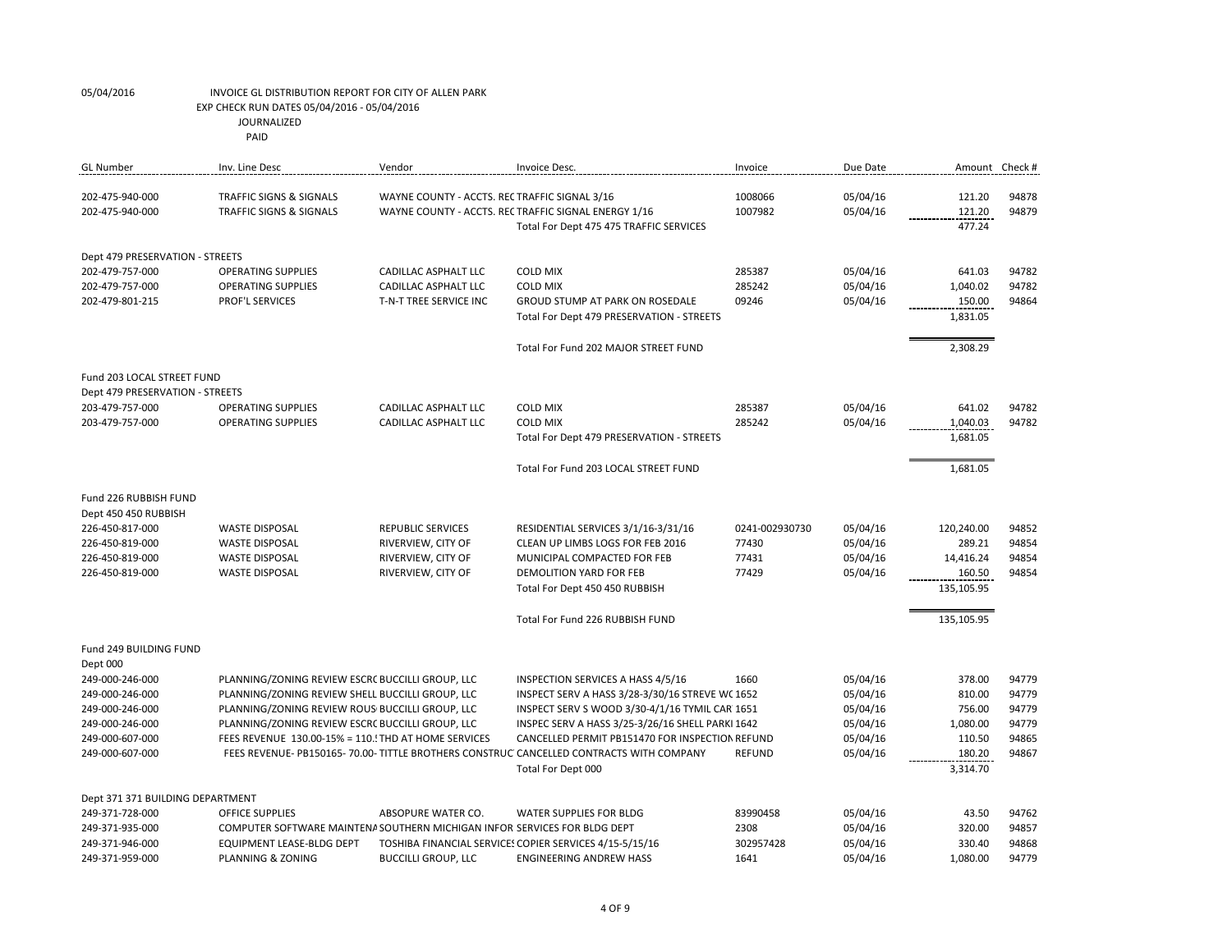| <b>GL Number</b>                 | Inv. Line Desc                                                            | Vendor                                        | Invoice Desc.                                                                         | Invoice        | Due Date | Amount Check # |       |
|----------------------------------|---------------------------------------------------------------------------|-----------------------------------------------|---------------------------------------------------------------------------------------|----------------|----------|----------------|-------|
|                                  |                                                                           |                                               |                                                                                       |                |          |                |       |
| 202-475-940-000                  | TRAFFIC SIGNS & SIGNALS                                                   | WAYNE COUNTY - ACCTS. REC TRAFFIC SIGNAL 3/16 |                                                                                       | 1008066        | 05/04/16 | 121.20         | 94878 |
| 202-475-940-000                  | TRAFFIC SIGNS & SIGNALS                                                   |                                               | WAYNE COUNTY - ACCTS. REC TRAFFIC SIGNAL ENERGY 1/16                                  | 1007982        | 05/04/16 | 121.20         | 94879 |
|                                  |                                                                           |                                               | Total For Dept 475 475 TRAFFIC SERVICES                                               |                |          | 477.24         |       |
| Dept 479 PRESERVATION - STREETS  |                                                                           |                                               |                                                                                       |                |          |                |       |
| 202-479-757-000                  | <b>OPERATING SUPPLIES</b>                                                 | CADILLAC ASPHALT LLC                          | <b>COLD MIX</b>                                                                       | 285387         | 05/04/16 | 641.03         | 94782 |
| 202-479-757-000                  | <b>OPERATING SUPPLIES</b>                                                 | CADILLAC ASPHALT LLC                          | <b>COLD MIX</b>                                                                       | 285242         | 05/04/16 | 1,040.02       | 94782 |
| 202-479-801-215                  | <b>PROF'L SERVICES</b>                                                    | T-N-T TREE SERVICE INC                        | GROUD STUMP AT PARK ON ROSEDALE                                                       | 09246          | 05/04/16 | 150.00         | 94864 |
|                                  |                                                                           |                                               | Total For Dept 479 PRESERVATION - STREETS                                             |                |          | 1,831.05       |       |
|                                  |                                                                           |                                               |                                                                                       |                |          |                |       |
|                                  |                                                                           |                                               | Total For Fund 202 MAJOR STREET FUND                                                  |                |          | 2,308.29       |       |
| Fund 203 LOCAL STREET FUND       |                                                                           |                                               |                                                                                       |                |          |                |       |
| Dept 479 PRESERVATION - STREETS  |                                                                           |                                               |                                                                                       |                |          |                |       |
| 203-479-757-000                  | <b>OPERATING SUPPLIES</b>                                                 | CADILLAC ASPHALT LLC                          | <b>COLD MIX</b>                                                                       | 285387         | 05/04/16 | 641.02         | 94782 |
| 203-479-757-000                  | <b>OPERATING SUPPLIES</b>                                                 | CADILLAC ASPHALT LLC                          | <b>COLD MIX</b>                                                                       | 285242         | 05/04/16 | 1,040.03       | 94782 |
|                                  |                                                                           |                                               | Total For Dept 479 PRESERVATION - STREETS                                             |                |          | 1,681.05       |       |
|                                  |                                                                           |                                               |                                                                                       |                |          |                |       |
|                                  |                                                                           |                                               | Total For Fund 203 LOCAL STREET FUND                                                  |                |          | 1,681.05       |       |
| Fund 226 RUBBISH FUND            |                                                                           |                                               |                                                                                       |                |          |                |       |
| Dept 450 450 RUBBISH             |                                                                           |                                               |                                                                                       |                |          |                |       |
| 226-450-817-000                  | <b>WASTE DISPOSAL</b>                                                     | <b>REPUBLIC SERVICES</b>                      | RESIDENTIAL SERVICES 3/1/16-3/31/16                                                   | 0241-002930730 | 05/04/16 | 120,240.00     | 94852 |
| 226-450-819-000                  | <b>WASTE DISPOSAL</b>                                                     | RIVERVIEW, CITY OF                            | CLEAN UP LIMBS LOGS FOR FEB 2016                                                      | 77430          | 05/04/16 | 289.21         | 94854 |
| 226-450-819-000                  | <b>WASTE DISPOSAL</b>                                                     | RIVERVIEW, CITY OF                            | MUNICIPAL COMPACTED FOR FEB                                                           | 77431          | 05/04/16 | 14,416.24      | 94854 |
| 226-450-819-000                  | <b>WASTE DISPOSAL</b>                                                     | RIVERVIEW, CITY OF                            | <b>DEMOLITION YARD FOR FEB</b>                                                        | 77429          | 05/04/16 | 160.50         | 94854 |
|                                  |                                                                           |                                               | Total For Dept 450 450 RUBBISH                                                        |                |          | 135,105.95     |       |
|                                  |                                                                           |                                               |                                                                                       |                |          |                |       |
|                                  |                                                                           |                                               | Total For Fund 226 RUBBISH FUND                                                       |                |          | 135,105.95     |       |
| Fund 249 BUILDING FUND           |                                                                           |                                               |                                                                                       |                |          |                |       |
| Dept 000                         |                                                                           |                                               |                                                                                       |                |          |                |       |
| 249-000-246-000                  | PLANNING/ZONING REVIEW ESCRC BUCCILLI GROUP, LLC                          |                                               | INSPECTION SERVICES A HASS 4/5/16                                                     | 1660           | 05/04/16 | 378.00         | 94779 |
| 249-000-246-000                  | PLANNING/ZONING REVIEW SHELL BUCCILLI GROUP, LLC                          |                                               | INSPECT SERV A HASS 3/28-3/30/16 STREVE WC 1652                                       |                | 05/04/16 | 810.00         | 94779 |
| 249-000-246-000                  | PLANNING/ZONING REVIEW ROUS BUCCILLI GROUP, LLC                           |                                               | INSPECT SERV S WOOD 3/30-4/1/16 TYMIL CAR 1651                                        |                | 05/04/16 | 756.00         | 94779 |
| 249-000-246-000                  | PLANNING/ZONING REVIEW ESCRC BUCCILLI GROUP, LLC                          |                                               | INSPEC SERV A HASS 3/25-3/26/16 SHELL PARKI 1642                                      |                | 05/04/16 | 1,080.00       | 94779 |
| 249-000-607-000                  | FEES REVENUE 130.00-15% = 110. THD AT HOME SERVICES                       |                                               | CANCELLED PERMIT PB151470 FOR INSPECTION REFUND                                       |                | 05/04/16 | 110.50         | 94865 |
| 249-000-607-000                  |                                                                           |                                               | FEES REVENUE-PB150165-70.00-TITTLE BROTHERS CONSTRUC CANCELLED CONTRACTS WITH COMPANY | <b>REFUND</b>  | 05/04/16 | 180.20         | 94867 |
|                                  |                                                                           |                                               | Total For Dept 000                                                                    |                |          | 3,314.70       |       |
| Dept 371 371 BUILDING DEPARTMENT |                                                                           |                                               |                                                                                       |                |          |                |       |
| 249-371-728-000                  | <b>OFFICE SUPPLIES</b>                                                    | ABSOPURE WATER CO.                            | <b>WATER SUPPLIES FOR BLDG</b>                                                        | 83990458       | 05/04/16 | 43.50          | 94762 |
| 249-371-935-000                  | COMPUTER SOFTWARE MAINTENA SOUTHERN MICHIGAN INFOR SERVICES FOR BLDG DEPT |                                               |                                                                                       | 2308           | 05/04/16 | 320.00         | 94857 |
| 249-371-946-000                  | <b>EQUIPMENT LEASE-BLDG DEPT</b>                                          |                                               | TOSHIBA FINANCIAL SERVICES COPIER SERVICES 4/15-5/15/16                               | 302957428      | 05/04/16 | 330.40         | 94868 |
| 249-371-959-000                  | PLANNING & ZONING                                                         | <b>BUCCILLI GROUP, LLC</b>                    | <b>ENGINEERING ANDREW HASS</b>                                                        | 1641           | 05/04/16 | 1.080.00       | 94779 |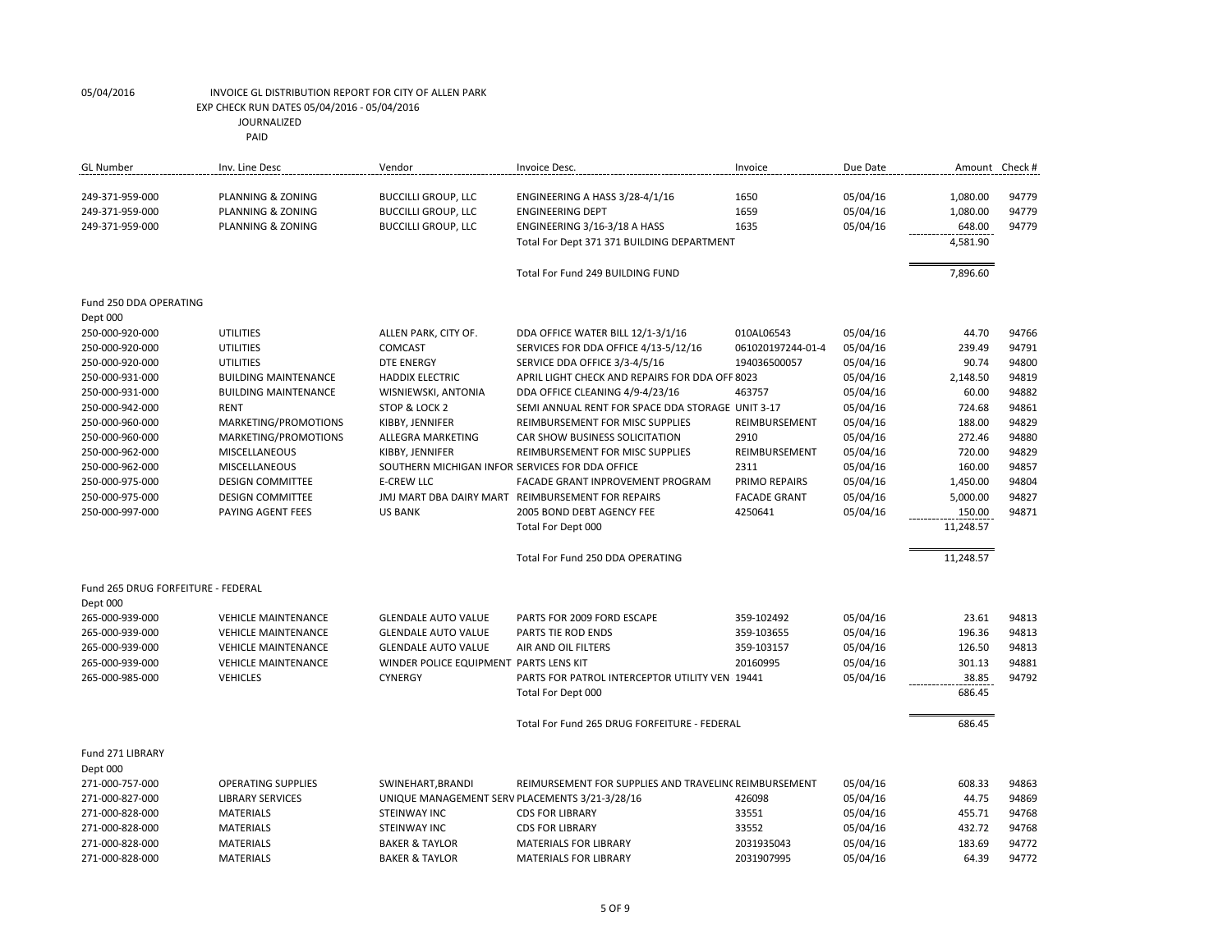| <b>GL</b> Number                   | Inv. Line Desc              | Vendor                                          | Invoice Desc.                                         | Invoice             | Due Date | Amount Check # |       |
|------------------------------------|-----------------------------|-------------------------------------------------|-------------------------------------------------------|---------------------|----------|----------------|-------|
|                                    |                             |                                                 |                                                       |                     |          |                |       |
| 249-371-959-000                    | PLANNING & ZONING           | <b>BUCCILLI GROUP, LLC</b>                      | ENGINEERING A HASS 3/28-4/1/16                        | 1650                | 05/04/16 | 1,080.00       | 94779 |
| 249-371-959-000                    | PLANNING & ZONING           | <b>BUCCILLI GROUP, LLC</b>                      | <b>ENGINEERING DEPT</b>                               | 1659                | 05/04/16 | 1,080.00       | 94779 |
| 249-371-959-000                    | PLANNING & ZONING           | <b>BUCCILLI GROUP, LLC</b>                      | ENGINEERING 3/16-3/18 A HASS                          | 1635                | 05/04/16 | 648.00         | 94779 |
|                                    |                             |                                                 | Total For Dept 371 371 BUILDING DEPARTMENT            |                     |          | 4,581.90       |       |
|                                    |                             |                                                 | Total For Fund 249 BUILDING FUND                      |                     |          | 7,896.60       |       |
| Fund 250 DDA OPERATING             |                             |                                                 |                                                       |                     |          |                |       |
| Dept 000                           |                             |                                                 |                                                       |                     |          |                |       |
| 250-000-920-000                    | <b>UTILITIES</b>            | ALLEN PARK, CITY OF.                            | DDA OFFICE WATER BILL 12/1-3/1/16                     | 010AL06543          | 05/04/16 | 44.70          | 94766 |
| 250-000-920-000                    | UTILITIES                   | <b>COMCAST</b>                                  | SERVICES FOR DDA OFFICE 4/13-5/12/16                  | 061020197244-01-4   | 05/04/16 | 239.49         | 94791 |
| 250-000-920-000                    | UTILITIES                   | <b>DTE ENERGY</b>                               | SERVICE DDA OFFICE 3/3-4/5/16                         | 194036500057        | 05/04/16 | 90.74          | 94800 |
| 250-000-931-000                    | <b>BUILDING MAINTENANCE</b> | <b>HADDIX ELECTRIC</b>                          | APRIL LIGHT CHECK AND REPAIRS FOR DDA OFF 8023        |                     | 05/04/16 | 2,148.50       | 94819 |
| 250-000-931-000                    | <b>BUILDING MAINTENANCE</b> | WISNIEWSKI, ANTONIA                             | DDA OFFICE CLEANING 4/9-4/23/16                       | 463757              | 05/04/16 | 60.00          | 94882 |
| 250-000-942-000                    | RENT                        | STOP & LOCK 2                                   | SEMI ANNUAL RENT FOR SPACE DDA STORAGE UNIT 3-17      |                     | 05/04/16 | 724.68         | 94861 |
| 250-000-960-000                    | MARKETING/PROMOTIONS        | KIBBY, JENNIFER                                 | REIMBURSEMENT FOR MISC SUPPLIES                       | REIMBURSEMENT       | 05/04/16 | 188.00         | 94829 |
| 250-000-960-000                    | MARKETING/PROMOTIONS        | ALLEGRA MARKETING                               | CAR SHOW BUSINESS SOLICITATION                        | 2910                | 05/04/16 | 272.46         | 94880 |
| 250-000-962-000                    | MISCELLANEOUS               | KIBBY, JENNIFER                                 | REIMBURSEMENT FOR MISC SUPPLIES                       | REIMBURSEMENT       | 05/04/16 | 720.00         | 94829 |
| 250-000-962-000                    | <b>MISCELLANEOUS</b>        | SOUTHERN MICHIGAN INFOR SERVICES FOR DDA OFFICE |                                                       | 2311                | 05/04/16 | 160.00         | 94857 |
| 250-000-975-000                    | <b>DESIGN COMMITTEE</b>     | <b>E-CREW LLC</b>                               | FACADE GRANT INPROVEMENT PROGRAM                      | PRIMO REPAIRS       | 05/04/16 | 1,450.00       | 94804 |
| 250-000-975-000                    | <b>DESIGN COMMITTEE</b>     |                                                 | JMJ MART DBA DAIRY MART REIMBURSEMENT FOR REPAIRS     | <b>FACADE GRANT</b> | 05/04/16 | 5,000.00       | 94827 |
| 250-000-997-000                    | PAYING AGENT FEES           | <b>US BANK</b>                                  | 2005 BOND DEBT AGENCY FEE                             | 4250641             | 05/04/16 | 150.00         | 94871 |
|                                    |                             |                                                 | Total For Dept 000                                    |                     |          | 11,248.57      |       |
|                                    |                             |                                                 |                                                       |                     |          |                |       |
|                                    |                             |                                                 | Total For Fund 250 DDA OPERATING                      |                     |          | 11,248.57      |       |
| Fund 265 DRUG FORFEITURE - FEDERAL |                             |                                                 |                                                       |                     |          |                |       |
| Dept 000                           |                             |                                                 |                                                       |                     |          |                |       |
| 265-000-939-000                    | <b>VEHICLE MAINTENANCE</b>  | <b>GLENDALE AUTO VALUE</b>                      | PARTS FOR 2009 FORD ESCAPE                            | 359-102492          | 05/04/16 | 23.61          | 94813 |
| 265-000-939-000                    | <b>VEHICLE MAINTENANCE</b>  | <b>GLENDALE AUTO VALUE</b>                      | PARTS TIE ROD ENDS                                    | 359-103655          | 05/04/16 | 196.36         | 94813 |
| 265-000-939-000                    | <b>VEHICLE MAINTENANCE</b>  | <b>GLENDALE AUTO VALUE</b>                      | AIR AND OIL FILTERS                                   | 359-103157          | 05/04/16 | 126.50         | 94813 |
| 265-000-939-000                    | <b>VEHICLE MAINTENANCE</b>  | WINDER POLICE EQUIPMENT PARTS LENS KIT          |                                                       | 20160995            | 05/04/16 | 301.13         | 94881 |
| 265-000-985-000                    | <b>VEHICLES</b>             | <b>CYNERGY</b>                                  | PARTS FOR PATROL INTERCEPTOR UTILITY VEN 19441        |                     | 05/04/16 | 38.85          | 94792 |
|                                    |                             |                                                 | Total For Dept 000                                    |                     |          | 686.45         |       |
|                                    |                             |                                                 | Total For Fund 265 DRUG FORFEITURE - FEDERAL          |                     |          | 686.45         |       |
| Fund 271 LIBRARY                   |                             |                                                 |                                                       |                     |          |                |       |
| Dept 000                           |                             |                                                 |                                                       |                     |          |                |       |
| 271-000-757-000                    | <b>OPERATING SUPPLIES</b>   | SWINEHART, BRANDI                               | REIMURSEMENT FOR SUPPLIES AND TRAVELINC REIMBURSEMENT |                     | 05/04/16 | 608.33         | 94863 |
| 271-000-827-000                    | <b>LIBRARY SERVICES</b>     | UNIQUE MANAGEMENT SERV PLACEMENTS 3/21-3/28/16  |                                                       | 426098              | 05/04/16 | 44.75          | 94869 |
| 271-000-828-000                    | <b>MATERIALS</b>            | STEINWAY INC                                    | <b>CDS FOR LIBRARY</b>                                | 33551               | 05/04/16 | 455.71         | 94768 |
| 271-000-828-000                    | <b>MATERIALS</b>            | <b>STEINWAY INC</b>                             | <b>CDS FOR LIBRARY</b>                                | 33552               | 05/04/16 | 432.72         | 94768 |
| 271-000-828-000                    | <b>MATERIALS</b>            | <b>BAKER &amp; TAYLOR</b>                       | <b>MATERIALS FOR LIBRARY</b>                          | 2031935043          | 05/04/16 | 183.69         | 94772 |
| 271-000-828-000                    | <b>MATERIALS</b>            | <b>BAKER &amp; TAYLOR</b>                       | <b>MATERIALS FOR LIBRARY</b>                          | 2031907995          | 05/04/16 | 64.39          | 94772 |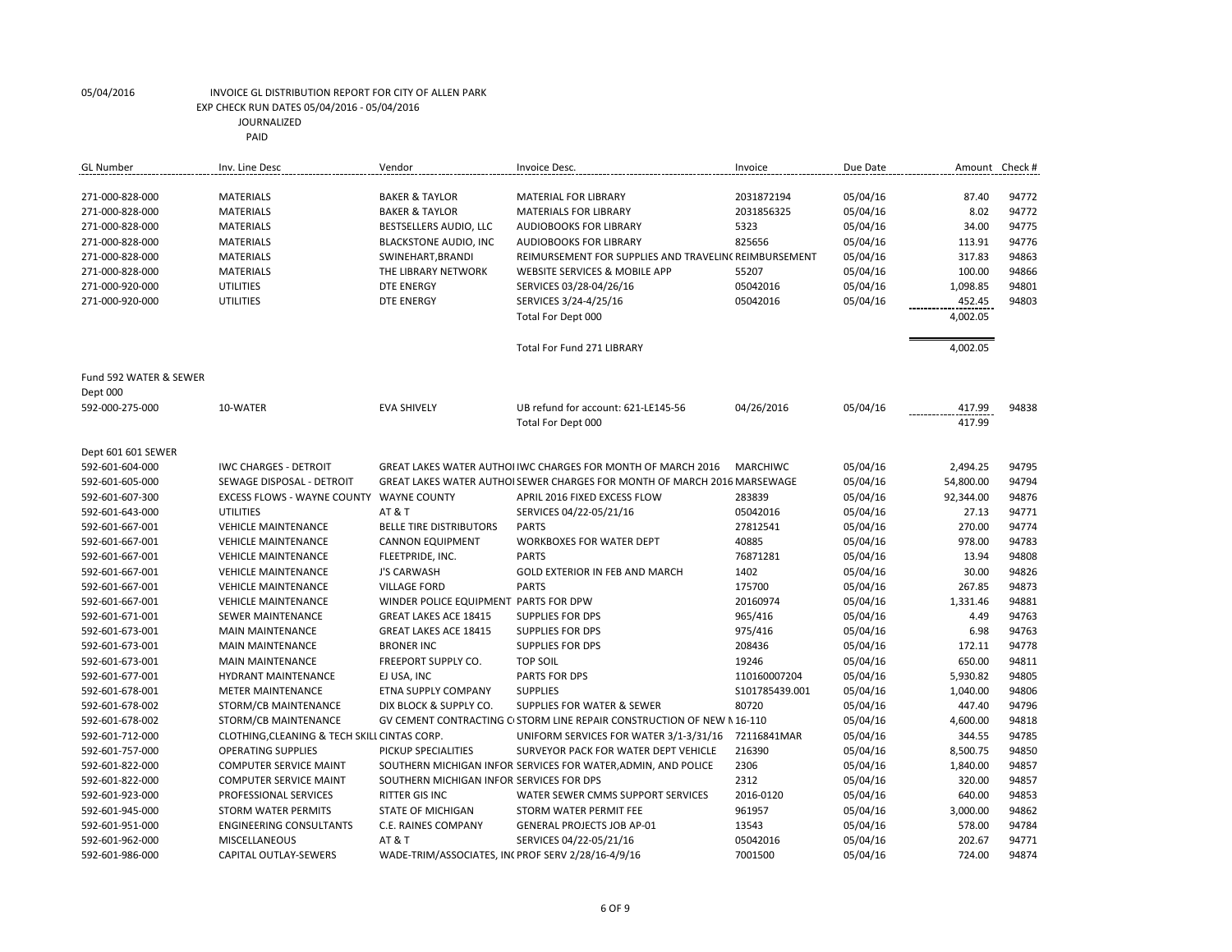| <b>GL</b> Number       | Inv. Line Desc                               | Vendor                                            | Invoice Desc.                                                           | Invoice         | Due Date | Amount Check # |       |
|------------------------|----------------------------------------------|---------------------------------------------------|-------------------------------------------------------------------------|-----------------|----------|----------------|-------|
|                        |                                              |                                                   |                                                                         |                 |          |                |       |
| 271-000-828-000        | <b>MATERIALS</b>                             | <b>BAKER &amp; TAYLOR</b>                         | <b>MATERIAL FOR LIBRARY</b>                                             | 2031872194      | 05/04/16 | 87.40          | 94772 |
| 271-000-828-000        | <b>MATERIALS</b>                             | <b>BAKER &amp; TAYLOR</b>                         | <b>MATERIALS FOR LIBRARY</b>                                            | 2031856325      | 05/04/16 | 8.02           | 94772 |
| 271-000-828-000        | <b>MATERIALS</b>                             | BESTSELLERS AUDIO, LLC                            | <b>AUDIOBOOKS FOR LIBRARY</b>                                           | 5323            | 05/04/16 | 34.00          | 94775 |
| 271-000-828-000        | <b>MATERIALS</b>                             | <b>BLACKSTONE AUDIO, INC</b>                      | <b>AUDIOBOOKS FOR LIBRARY</b>                                           | 825656          | 05/04/16 | 113.91         | 94776 |
| 271-000-828-000        | <b>MATERIALS</b>                             | SWINEHART, BRANDI                                 | REIMURSEMENT FOR SUPPLIES AND TRAVELINC REIMBURSEMENT                   |                 | 05/04/16 | 317.83         | 94863 |
| 271-000-828-000        | <b>MATERIALS</b>                             | THE LIBRARY NETWORK                               | WEBSITE SERVICES & MOBILE APP                                           | 55207           | 05/04/16 | 100.00         | 94866 |
| 271-000-920-000        | <b>UTILITIES</b>                             | <b>DTE ENERGY</b>                                 | SERVICES 03/28-04/26/16                                                 | 05042016        | 05/04/16 | 1,098.85       | 94801 |
| 271-000-920-000        | <b>UTILITIES</b>                             | <b>DTE ENERGY</b>                                 | SERVICES 3/24-4/25/16                                                   | 05042016        | 05/04/16 | 452.45         | 94803 |
|                        |                                              |                                                   | Total For Dept 000                                                      |                 |          | 4,002.05       |       |
|                        |                                              |                                                   |                                                                         |                 |          |                |       |
|                        |                                              |                                                   | Total For Fund 271 LIBRARY                                              |                 |          | 4,002.05       |       |
|                        |                                              |                                                   |                                                                         |                 |          |                |       |
| Fund 592 WATER & SEWER |                                              |                                                   |                                                                         |                 |          |                |       |
| Dept 000               |                                              |                                                   |                                                                         |                 |          |                |       |
| 592-000-275-000        | 10-WATER                                     | <b>EVA SHIVELY</b>                                | UB refund for account: 621-LE145-56                                     | 04/26/2016      | 05/04/16 | 417.99         | 94838 |
|                        |                                              |                                                   | Total For Dept 000                                                      |                 |          | 417.99         |       |
|                        |                                              |                                                   |                                                                         |                 |          |                |       |
| Dept 601 601 SEWER     |                                              |                                                   |                                                                         |                 |          |                |       |
| 592-601-604-000        | <b>IWC CHARGES - DETROIT</b>                 |                                                   | GREAT LAKES WATER AUTHOLIWC CHARGES FOR MONTH OF MARCH 2016             | <b>MARCHIWC</b> | 05/04/16 | 2,494.25       | 94795 |
| 592-601-605-000        | SEWAGE DISPOSAL - DETROIT                    |                                                   | GREAT LAKES WATER AUTHOLSEWER CHARGES FOR MONTH OF MARCH 2016 MARSEWAGE |                 | 05/04/16 | 54,800.00      | 94794 |
| 592-601-607-300        | EXCESS FLOWS - WAYNE COUNTY WAYNE COUNTY     |                                                   | APRIL 2016 FIXED EXCESS FLOW                                            | 283839          | 05/04/16 | 92,344.00      | 94876 |
| 592-601-643-000        | <b>UTILITIES</b>                             | <b>AT &amp; T</b>                                 | SERVICES 04/22-05/21/16                                                 | 05042016        | 05/04/16 | 27.13          | 94771 |
| 592-601-667-001        | <b>VEHICLE MAINTENANCE</b>                   | <b>BELLE TIRE DISTRIBUTORS</b>                    | <b>PARTS</b>                                                            | 27812541        | 05/04/16 | 270.00         | 94774 |
| 592-601-667-001        | <b>VEHICLE MAINTENANCE</b>                   | <b>CANNON EQUIPMENT</b>                           | <b>WORKBOXES FOR WATER DEPT</b>                                         | 40885           | 05/04/16 | 978.00         | 94783 |
| 592-601-667-001        | <b>VEHICLE MAINTENANCE</b>                   | FLEETPRIDE, INC.                                  | <b>PARTS</b>                                                            | 76871281        | 05/04/16 | 13.94          | 94808 |
| 592-601-667-001        | <b>VEHICLE MAINTENANCE</b>                   | <b>J'S CARWASH</b>                                | <b>GOLD EXTERIOR IN FEB AND MARCH</b>                                   | 1402            | 05/04/16 | 30.00          | 94826 |
| 592-601-667-001        | <b>VEHICLE MAINTENANCE</b>                   | <b>VILLAGE FORD</b>                               | <b>PARTS</b>                                                            | 175700          | 05/04/16 | 267.85         | 94873 |
| 592-601-667-001        | <b>VEHICLE MAINTENANCE</b>                   | WINDER POLICE EQUIPMENT PARTS FOR DPW             |                                                                         | 20160974        | 05/04/16 | 1,331.46       | 94881 |
| 592-601-671-001        | SEWER MAINTENANCE                            | <b>GREAT LAKES ACE 18415</b>                      | <b>SUPPLIES FOR DPS</b>                                                 | 965/416         | 05/04/16 | 4.49           | 94763 |
| 592-601-673-001        | <b>MAIN MAINTENANCE</b>                      | <b>GREAT LAKES ACE 18415</b>                      | <b>SUPPLIES FOR DPS</b>                                                 | 975/416         | 05/04/16 | 6.98           | 94763 |
| 592-601-673-001        | <b>MAIN MAINTENANCE</b>                      | <b>BRONER INC</b>                                 | <b>SUPPLIES FOR DPS</b>                                                 | 208436          | 05/04/16 | 172.11         | 94778 |
| 592-601-673-001        | <b>MAIN MAINTENANCE</b>                      | FREEPORT SUPPLY CO.                               | <b>TOP SOIL</b>                                                         | 19246           | 05/04/16 | 650.00         | 94811 |
| 592-601-677-001        | <b>HYDRANT MAINTENANCE</b>                   | EJ USA, INC                                       | PARTS FOR DPS                                                           | 110160007204    | 05/04/16 | 5,930.82       | 94805 |
| 592-601-678-001        | <b>METER MAINTENANCE</b>                     | ETNA SUPPLY COMPANY                               | <b>SUPPLIES</b>                                                         | S101785439.001  | 05/04/16 | 1,040.00       | 94806 |
| 592-601-678-002        | STORM/CB MAINTENANCE                         | DIX BLOCK & SUPPLY CO.                            | SUPPLIES FOR WATER & SEWER                                              | 80720           | 05/04/16 | 447.40         | 94796 |
| 592-601-678-002        | STORM/CB MAINTENANCE                         |                                                   | GV CEMENT CONTRACTING C STORM LINE REPAIR CONSTRUCTION OF NEW N 16-110  |                 | 05/04/16 | 4,600.00       | 94818 |
| 592-601-712-000        | CLOTHING, CLEANING & TECH SKILL CINTAS CORP. |                                                   | UNIFORM SERVICES FOR WATER 3/1-3/31/16                                  | 72116841MAR     | 05/04/16 | 344.55         | 94785 |
| 592-601-757-000        | <b>OPERATING SUPPLIES</b>                    | PICKUP SPECIALITIES                               | SURVEYOR PACK FOR WATER DEPT VEHICLE                                    | 216390          | 05/04/16 | 8,500.75       | 94850 |
| 592-601-822-000        | <b>COMPUTER SERVICE MAINT</b>                |                                                   | SOUTHERN MICHIGAN INFOR SERVICES FOR WATER, ADMIN, AND POLICE           | 2306            | 05/04/16 | 1,840.00       | 94857 |
| 592-601-822-000        | <b>COMPUTER SERVICE MAINT</b>                | SOUTHERN MICHIGAN INFOR SERVICES FOR DPS          |                                                                         | 2312            | 05/04/16 | 320.00         | 94857 |
| 592-601-923-000        | PROFESSIONAL SERVICES                        | <b>RITTER GIS INC</b>                             | WATER SEWER CMMS SUPPORT SERVICES                                       | 2016-0120       | 05/04/16 | 640.00         | 94853 |
| 592-601-945-000        | <b>STORM WATER PERMITS</b>                   | <b>STATE OF MICHIGAN</b>                          | STORM WATER PERMIT FEE                                                  | 961957          | 05/04/16 | 3,000.00       | 94862 |
| 592-601-951-000        | <b>ENGINEERING CONSULTANTS</b>               | C.E. RAINES COMPANY                               | <b>GENERAL PROJECTS JOB AP-01</b>                                       | 13543           | 05/04/16 | 578.00         | 94784 |
| 592-601-962-000        | <b>MISCELLANEOUS</b>                         | <b>AT &amp; T</b>                                 | SERVICES 04/22-05/21/16                                                 | 05042016        | 05/04/16 | 202.67         | 94771 |
| 592-601-986-000        | CAPITAL OUTLAY-SEWERS                        | WADE-TRIM/ASSOCIATES, IN(PROF SERV 2/28/16-4/9/16 |                                                                         | 7001500         | 05/04/16 | 724.00         | 94874 |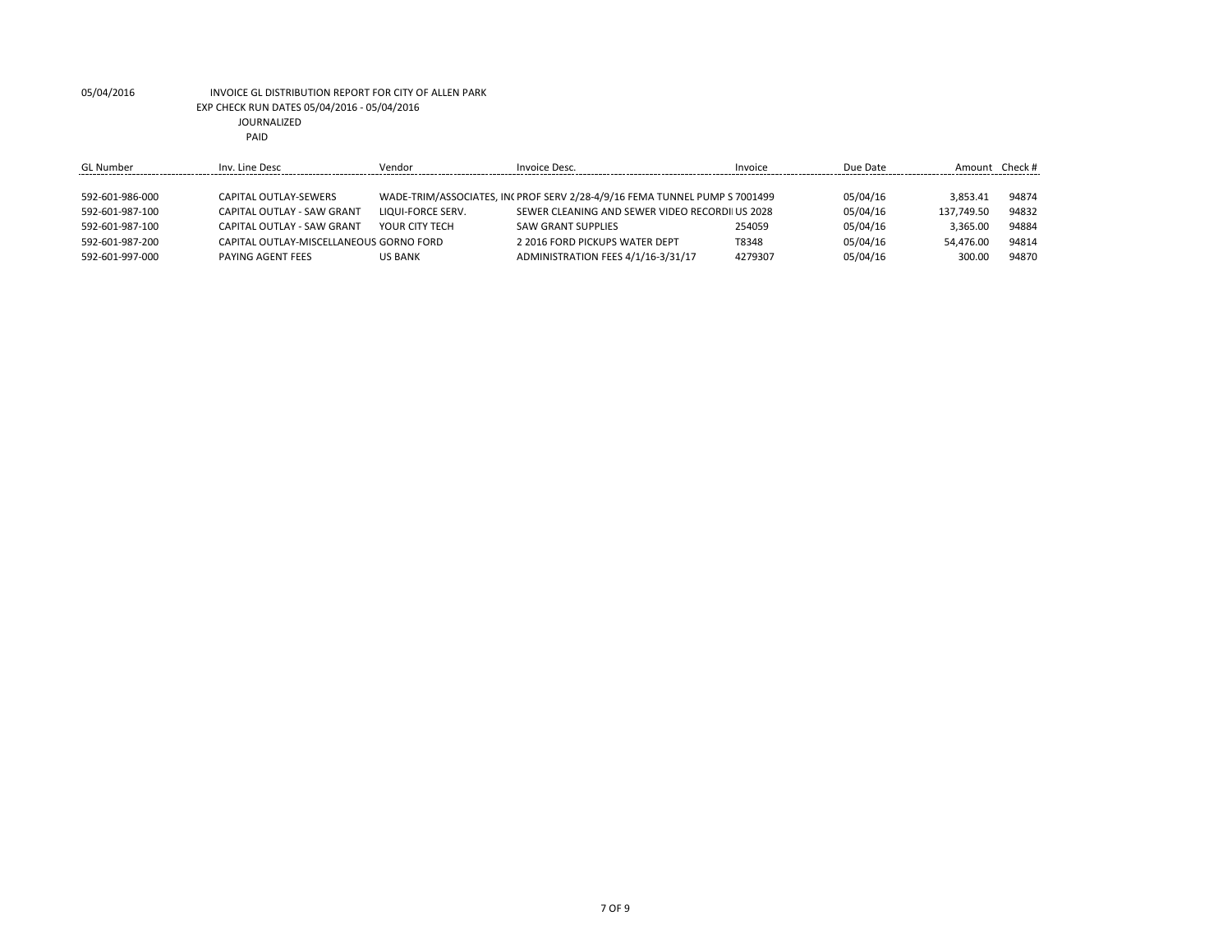| GL Number       | Inv. Line Desc                          | Vendor            | Invoice Desc.                                                              | Invoice | Due Date | Amount     | Check # |
|-----------------|-----------------------------------------|-------------------|----------------------------------------------------------------------------|---------|----------|------------|---------|
|                 |                                         |                   |                                                                            |         |          |            |         |
| 592-601-986-000 | CAPITAL OUTLAY-SEWERS                   |                   | WADE-TRIM/ASSOCIATES, IN( PROF SERV 2/28-4/9/16 FEMA TUNNEL PUMP S 7001499 |         | 05/04/16 | 3.853.41   | 94874   |
| 592-601-987-100 | <b>CAPITAL OUTLAY - SAW GRANT</b>       | LIQUI-FORCE SERV. | SEWER CLEANING AND SEWER VIDEO RECORDILUS 2028                             |         | 05/04/16 | 137.749.50 | 94832   |
| 592-601-987-100 | CAPITAL OUTLAY - SAW GRANT              | YOUR CITY TECH    | <b>SAW GRANT SUPPLIES</b>                                                  | 254059  | 05/04/16 | 3.365.00   | 94884   |
| 592-601-987-200 | CAPITAL OUTLAY-MISCELLANEOUS GORNO FORD |                   | 2 2016 FORD PICKUPS WATER DEPT                                             | T8348   | 05/04/16 | 54.476.00  | 94814   |
| 592-601-997-000 | PAYING AGENT FEES                       | <b>US BANK</b>    | ADMINISTRATION FEES 4/1/16-3/31/17                                         | 4279307 | 05/04/16 | 300.00     | 94870   |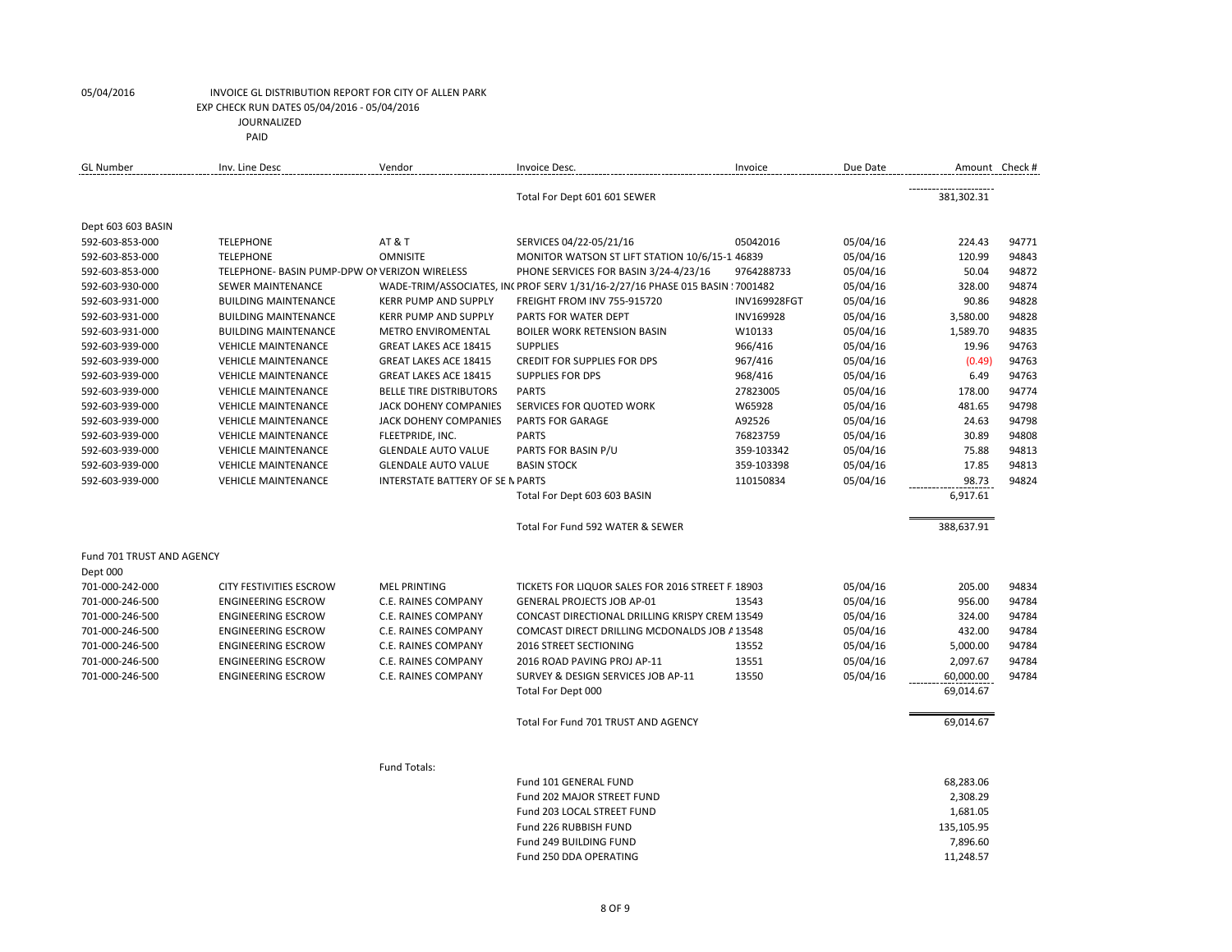| <b>GL Number</b>          | Inv. Line Desc                                | Vendor                                  | Invoice Desc.                                                                 | Invoice      | Due Date |                       | Amount Check # |
|---------------------------|-----------------------------------------------|-----------------------------------------|-------------------------------------------------------------------------------|--------------|----------|-----------------------|----------------|
|                           |                                               |                                         | Total For Dept 601 601 SEWER                                                  |              |          | 381,302.31            |                |
| Dept 603 603 BASIN        |                                               |                                         |                                                                               |              |          |                       |                |
| 592-603-853-000           | <b>TELEPHONE</b>                              | <b>AT &amp; T</b>                       | SERVICES 04/22-05/21/16                                                       | 05042016     | 05/04/16 | 224.43                | 94771          |
| 592-603-853-000           | <b>TELEPHONE</b>                              | <b>OMNISITE</b>                         | MONITOR WATSON ST LIFT STATION 10/6/15-1 46839                                |              | 05/04/16 | 120.99                | 94843          |
| 592-603-853-000           | TELEPHONE- BASIN PUMP-DPW OF VERIZON WIRELESS |                                         | PHONE SERVICES FOR BASIN 3/24-4/23/16                                         | 9764288733   | 05/04/16 | 50.04                 | 94872          |
| 592-603-930-000           | <b>SEWER MAINTENANCE</b>                      |                                         | WADE-TRIM/ASSOCIATES, IN( PROF SERV 1/31/16-2/27/16 PHASE 015 BASIN ! 7001482 |              | 05/04/16 | 328.00                | 94874          |
| 592-603-931-000           | <b>BUILDING MAINTENANCE</b>                   | <b>KERR PUMP AND SUPPLY</b>             | FREIGHT FROM INV 755-915720                                                   | INV169928FGT | 05/04/16 | 90.86                 | 94828          |
| 592-603-931-000           | <b>BUILDING MAINTENANCE</b>                   | <b>KERR PUMP AND SUPPLY</b>             | PARTS FOR WATER DEPT                                                          | INV169928    | 05/04/16 | 3,580.00              | 94828          |
| 592-603-931-000           | <b>BUILDING MAINTENANCE</b>                   | METRO ENVIROMENTAL                      | <b>BOILER WORK RETENSION BASIN</b>                                            | W10133       | 05/04/16 | 1,589.70              | 94835          |
| 592-603-939-000           | <b>VEHICLE MAINTENANCE</b>                    | <b>GREAT LAKES ACE 18415</b>            | <b>SUPPLIES</b>                                                               | 966/416      | 05/04/16 | 19.96                 | 94763          |
| 592-603-939-000           | <b>VEHICLE MAINTENANCE</b>                    | <b>GREAT LAKES ACE 18415</b>            | <b>CREDIT FOR SUPPLIES FOR DPS</b>                                            | 967/416      | 05/04/16 | (0.49)                | 94763          |
| 592-603-939-000           | <b>VEHICLE MAINTENANCE</b>                    | <b>GREAT LAKES ACE 18415</b>            | <b>SUPPLIES FOR DPS</b>                                                       | 968/416      | 05/04/16 | 6.49                  | 94763          |
| 592-603-939-000           | <b>VEHICLE MAINTENANCE</b>                    | <b>BELLE TIRE DISTRIBUTORS</b>          | <b>PARTS</b>                                                                  | 27823005     | 05/04/16 | 178.00                | 94774          |
| 592-603-939-000           | <b>VEHICLE MAINTENANCE</b>                    | JACK DOHENY COMPANIES                   | SERVICES FOR QUOTED WORK                                                      | W65928       | 05/04/16 | 481.65                | 94798          |
| 592-603-939-000           | <b>VEHICLE MAINTENANCE</b>                    | JACK DOHENY COMPANIES                   | <b>PARTS FOR GARAGE</b>                                                       | A92526       | 05/04/16 | 24.63                 | 94798          |
| 592-603-939-000           | <b>VEHICLE MAINTENANCE</b>                    | FLEETPRIDE, INC.                        | <b>PARTS</b>                                                                  | 76823759     | 05/04/16 | 30.89                 | 94808          |
| 592-603-939-000           | <b>VEHICLE MAINTENANCE</b>                    | <b>GLENDALE AUTO VALUE</b>              | PARTS FOR BASIN P/U                                                           | 359-103342   | 05/04/16 | 75.88                 | 94813          |
| 592-603-939-000           | <b>VEHICLE MAINTENANCE</b>                    | <b>GLENDALE AUTO VALUE</b>              | <b>BASIN STOCK</b>                                                            | 359-103398   | 05/04/16 | 17.85                 | 94813          |
| 592-603-939-000           | <b>VEHICLE MAINTENANCE</b>                    | <b>INTERSTATE BATTERY OF SE N PARTS</b> |                                                                               | 110150834    | 05/04/16 | 98.73                 | 94824          |
|                           |                                               |                                         | Total For Dept 603 603 BASIN                                                  |              |          | 6,917.61              |                |
|                           |                                               |                                         | Total For Fund 592 WATER & SEWER                                              |              |          | 388,637.91            |                |
| Fund 701 TRUST AND AGENCY |                                               |                                         |                                                                               |              |          |                       |                |
| Dept 000                  |                                               |                                         |                                                                               |              |          |                       |                |
| 701-000-242-000           | <b>CITY FESTIVITIES ESCROW</b>                | <b>MEL PRINTING</b>                     | TICKETS FOR LIQUOR SALES FOR 2016 STREET F. 18903                             |              | 05/04/16 | 205.00                | 94834          |
| 701-000-246-500           | <b>ENGINEERING ESCROW</b>                     | C.E. RAINES COMPANY                     | <b>GENERAL PROJECTS JOB AP-01</b>                                             | 13543        | 05/04/16 | 956.00                | 94784          |
| 701-000-246-500           | <b>ENGINEERING ESCROW</b>                     | C.E. RAINES COMPANY                     | CONCAST DIRECTIONAL DRILLING KRISPY CREM 13549                                |              | 05/04/16 | 324.00                | 94784          |
| 701-000-246-500           | <b>ENGINEERING ESCROW</b>                     | C.E. RAINES COMPANY                     | COMCAST DIRECT DRILLING MCDONALDS JOB A 13548                                 |              | 05/04/16 | 432.00                | 94784          |
| 701-000-246-500           | <b>ENGINEERING ESCROW</b>                     | C.E. RAINES COMPANY                     | <b>2016 STREET SECTIONING</b>                                                 | 13552        | 05/04/16 | 5,000.00              | 94784          |
| 701-000-246-500           | <b>ENGINEERING ESCROW</b>                     | C.E. RAINES COMPANY                     | 2016 ROAD PAVING PROJ AP-11                                                   | 13551        | 05/04/16 | 2,097.67              | 94784          |
| 701-000-246-500           | <b>ENGINEERING ESCROW</b>                     | C.E. RAINES COMPANY                     | SURVEY & DESIGN SERVICES JOB AP-11                                            | 13550        | 05/04/16 | 60,000.00             | 94784          |
|                           |                                               |                                         | Total For Dept 000                                                            |              |          | 69,014.67             |                |
|                           |                                               |                                         | Total For Fund 701 TRUST AND AGENCY                                           |              |          | 69,014.67             |                |
|                           |                                               |                                         |                                                                               |              |          |                       |                |
|                           |                                               | Fund Totals:                            |                                                                               |              |          |                       |                |
|                           |                                               |                                         | Fund 101 GENERAL FUND                                                         |              |          | 68,283.06             |                |
|                           |                                               |                                         | Fund 202 MAJOR STREET FUND                                                    |              |          | 2,308.29              |                |
|                           |                                               |                                         | Fund 203 LOCAL STREET FUND                                                    |              |          | 1,681.05              |                |
|                           |                                               |                                         | Fund 226 RUBBISH FUND                                                         |              |          | 135,105.95            |                |
|                           |                                               |                                         | Fund 249 BUILDING FUND<br>Fund 250 DDA OPERATING                              |              |          | 7,896.60<br>11.248.57 |                |
|                           |                                               |                                         |                                                                               |              |          |                       |                |